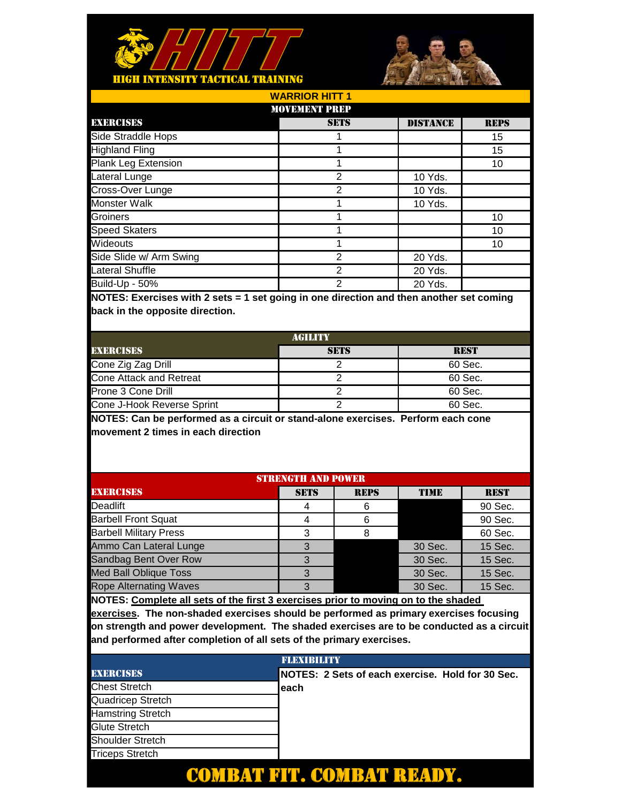



| <b>WARRIOR HITT 1</b>   |                |                 |             |  |  |
|-------------------------|----------------|-----------------|-------------|--|--|
| <b>MOVEMENT PREP</b>    |                |                 |             |  |  |
| <b>EXERCISES</b>        | <b>SETS</b>    | <b>DISTANCE</b> | <b>REPS</b> |  |  |
| Side Straddle Hops      |                |                 | 15          |  |  |
| <b>Highland Fling</b>   |                |                 | 15          |  |  |
| Plank Leg Extension     |                |                 | 10          |  |  |
| Lateral Lunge           | $\overline{2}$ | 10 Yds.         |             |  |  |
| Cross-Over Lunge        | $\mathfrak{p}$ | 10 Yds.         |             |  |  |
| Monster Walk            |                | 10 Yds.         |             |  |  |
| Groiners                |                |                 | 10          |  |  |
| <b>Speed Skaters</b>    |                |                 | 10          |  |  |
| Wideouts                |                |                 | 10          |  |  |
| Side Slide w/ Arm Swing | $\overline{2}$ | 20 Yds.         |             |  |  |
| Lateral Shuffle         | $\overline{2}$ | 20 Yds.         |             |  |  |
| Build-Up - 50%          | $\overline{2}$ | 20 Yds.         |             |  |  |

| AGILITY                    |             |             |  |  |
|----------------------------|-------------|-------------|--|--|
| <b>EXERCISES</b>           | <b>SETS</b> | <b>REST</b> |  |  |
| Cone Zig Zag Drill         |             | 60 Sec.     |  |  |
| Cone Attack and Retreat    |             | 60 Sec.     |  |  |
| Prone 3 Cone Drill         |             | 60 Sec.     |  |  |
| Cone J-Hook Reverse Sprint |             | 60 Sec.     |  |  |

**NOTES: Can be performed as a circuit or stand-alone exercises. Perform each cone movement 2 times in each direction**

| <b>STRENGTH AND POWER</b>     |             |             |             |             |
|-------------------------------|-------------|-------------|-------------|-------------|
|                               |             |             |             |             |
| <b>EXERCISES</b>              | <b>SETS</b> | <b>REPS</b> | <b>TIME</b> | <b>REST</b> |
| Deadlift                      |             | 6           |             | 90 Sec.     |
| <b>Barbell Front Squat</b>    |             | 6           |             | 90 Sec.     |
| <b>Barbell Military Press</b> | 3           |             |             | 60 Sec.     |
| Ammo Can Lateral Lunge        | 3           |             | 30 Sec.     | 15 Sec.     |
| Sandbag Bent Over Row         |             |             | 30 Sec.     | 15 Sec.     |
| <b>Med Ball Oblique Toss</b>  | ર           |             | 30 Sec.     | 15 Sec.     |
| <b>Rope Alternating Waves</b> | 3           |             | 30 Sec.     | 15 Sec.     |
|                               |             |             |             |             |

**NOTES: Complete all sets of the first 3 exercises prior to moving on to the shaded** 

|                          | <b>FLEXIBILITY</b>                               |
|--------------------------|--------------------------------------------------|
| <b>EXERCISES</b>         | NOTES: 2 Sets of each exercise. Hold for 30 Sec. |
| <b>Chest Stretch</b>     | leach                                            |
| Quadricep Stretch        |                                                  |
| <b>Hamstring Stretch</b> |                                                  |
| Glute Stretch            |                                                  |
| <b>Shoulder Stretch</b>  |                                                  |
| <b>Triceps Stretch</b>   |                                                  |
|                          |                                                  |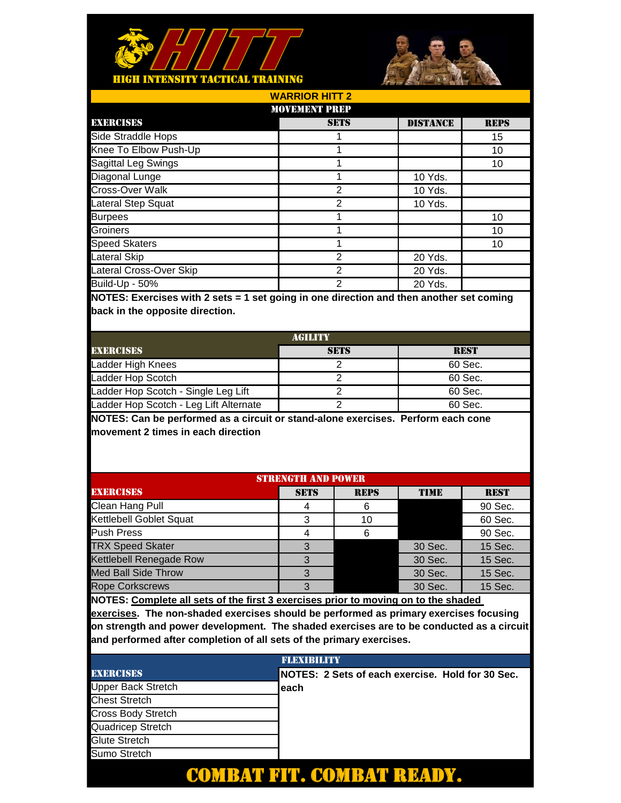



| <b>MOVEMENT PREP</b>                                                                                                   |                           |                           |                 |             |
|------------------------------------------------------------------------------------------------------------------------|---------------------------|---------------------------|-----------------|-------------|
| <b>EXERCISES</b>                                                                                                       |                           | <b>SETS</b>               | <b>DISTANCE</b> | <b>REPS</b> |
| Side Straddle Hops                                                                                                     |                           | 1                         |                 | 15          |
| Knee To Elbow Push-Up                                                                                                  |                           | 1                         |                 | 10          |
| Sagittal Leg Swings                                                                                                    |                           | 1                         |                 | 10          |
| Diagonal Lunge                                                                                                         |                           | 1                         | 10 Yds.         |             |
| Cross-Over Walk                                                                                                        |                           | $\overline{2}$            | 10 Yds.         |             |
| Lateral Step Squat                                                                                                     |                           | $\overline{2}$            | 10 Yds.         |             |
| <b>Burpees</b>                                                                                                         |                           | 1                         |                 | 10          |
| Groiners                                                                                                               |                           | 1                         |                 | 10          |
| <b>Speed Skaters</b>                                                                                                   |                           | 1                         |                 | 10          |
| <b>Lateral Skip</b>                                                                                                    |                           | $\overline{2}$            | $20$ Yds.       |             |
| Lateral Cross-Over Skip                                                                                                |                           | $\overline{2}$            | 20 Yds.         |             |
| Build-Up - 50%                                                                                                         |                           | $\overline{2}$            | 20 Yds.         |             |
|                                                                                                                        | <b>AGILITY</b>            |                           |                 |             |
| <b>EXERCISES</b>                                                                                                       |                           | <b>SETS</b>               |                 | <b>REST</b> |
| Ladder High Knees                                                                                                      | 60 Sec.<br>2              |                           |                 |             |
| Ladder Hop Scotch                                                                                                      |                           | $\overline{2}$<br>60 Sec. |                 |             |
| Ladder Hop Scotch - Single Leg Lift                                                                                    |                           | $\overline{2}$            |                 | 60 Sec.     |
| Ladder Hop Scotch - Leg Lift Alternate                                                                                 |                           | $\overline{2}$            |                 | 60 Sec.     |
| NOTES: Can be performed as a circuit or stand-alone exercises. Perform each cone<br>movement 2 times in each direction |                           |                           |                 |             |
|                                                                                                                        | <b>STRENGTH AND POWER</b> |                           |                 |             |
| <b>EXERCISES</b>                                                                                                       | <b>SETS</b>               | <b>REPS</b>               | TIME            | <b>REST</b> |
| Clean Hang Pull                                                                                                        | 4                         | 6                         |                 | 90 Sec.     |
| Kettlebell Goblet Squat                                                                                                | 3                         | 10                        |                 | 60 Sec.     |
| <b>Push Press</b>                                                                                                      | $\overline{\mathbf{4}}$   | 6                         |                 | 90 Sec.     |
|                                                                                                                        |                           |                           |                 |             |
| <b>TRX Speed Skater</b>                                                                                                | 3                         |                           | 30 Sec.         | 15 Sec.     |

**WARRIOR HITT 2**

**NOTES: Complete all sets of the first 3 exercises prior to moving on to the shaded** 

Rope Corkscrews

Med Ball Side Throw

**exercises. The non-shaded exercises should be performed as primary exercises focusing on strength and power development. The shaded exercises are to be conducted as a circuit and performed after completion of all sets of the primary exercises.**

30 Sec. 15 Sec. 3 30 Sec. 15 Sec.

|                      | <b>FLEXIBILITY</b> |                                                  |  |  |
|----------------------|--------------------|--------------------------------------------------|--|--|
| <b>EXERCISES</b>     |                    | NOTES: 2 Sets of each exercise. Hold for 30 Sec. |  |  |
| Upper Back Stretch   |                    | each                                             |  |  |
| <b>Chest Stretch</b> |                    |                                                  |  |  |
| Cross Body Stretch   |                    |                                                  |  |  |
| Quadricep Stretch    |                    |                                                  |  |  |
| <b>Glute Stretch</b> |                    |                                                  |  |  |
| Sumo Stretch         |                    |                                                  |  |  |
|                      |                    |                                                  |  |  |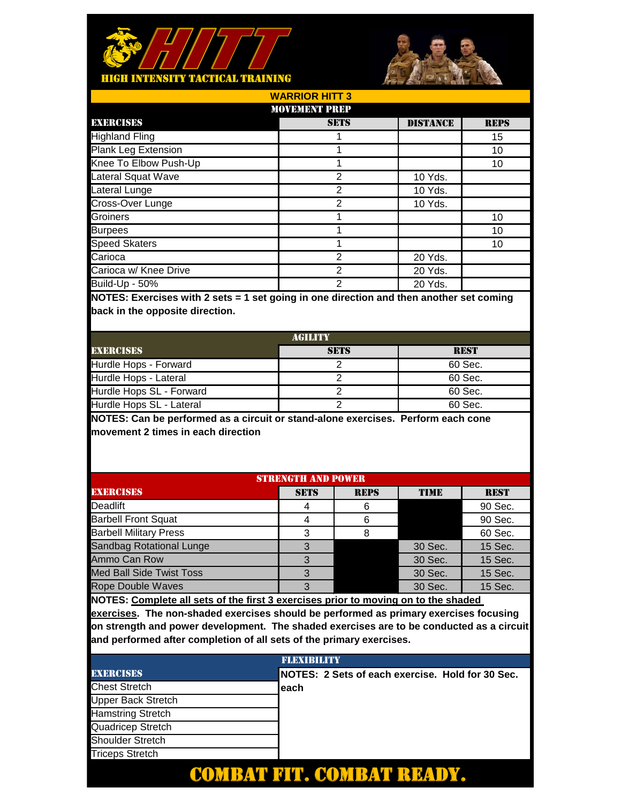



| <b>WARRIOR HITT 3</b> |                      |                 |             |  |  |  |
|-----------------------|----------------------|-----------------|-------------|--|--|--|
|                       | <b>MOVEMENT PREP</b> |                 |             |  |  |  |
| <b>EXERCISES</b>      | <b>SETS</b>          | <b>DISTANCE</b> | <b>REPS</b> |  |  |  |
| <b>Highland Fling</b> |                      |                 | 15          |  |  |  |
| Plank Leg Extension   |                      |                 | 10          |  |  |  |
| Knee To Elbow Push-Up |                      |                 | 10          |  |  |  |
| Lateral Squat Wave    | 2                    | 10 Yds.         |             |  |  |  |
| Lateral Lunge         | 2                    | 10 Yds.         |             |  |  |  |
| Cross-Over Lunge      | 2                    | 10 Yds.         |             |  |  |  |
| Groiners              |                      |                 | 10          |  |  |  |
| <b>Burpees</b>        |                      |                 | 10          |  |  |  |
| <b>Speed Skaters</b>  |                      |                 | 10          |  |  |  |
| Carioca               | 2                    | 20 Yds.         |             |  |  |  |
| Carioca w/ Knee Drive | $\mathfrak{p}$       | 20 Yds.         |             |  |  |  |
| Build-Up - 50%        | $\overline{2}$       | 20 Yds.         |             |  |  |  |

| <b>AGILITY</b>           |             |             |  |  |
|--------------------------|-------------|-------------|--|--|
| <b>EXERCISES</b>         | <b>SETS</b> | <b>REST</b> |  |  |
| Hurdle Hops - Forward    |             | 60 Sec.     |  |  |
| Hurdle Hops - Lateral    |             | 60 Sec.     |  |  |
| Hurdle Hops SL - Forward |             | 60 Sec.     |  |  |
| Hurdle Hops SL - Lateral |             | 60 Sec.     |  |  |

**NOTES: Can be performed as a circuit or stand-alone exercises. Perform each cone movement 2 times in each direction**

| <b>STRENGTH AND POWER</b>       |             |             |             |             |
|---------------------------------|-------------|-------------|-------------|-------------|
| <b>EXERCISES</b>                | <b>SETS</b> | <b>REPS</b> | <b>TIME</b> | <b>REST</b> |
| Deadlift                        |             | 6           |             | 90 Sec.     |
| <b>Barbell Front Squat</b>      |             |             |             | 90 Sec.     |
| <b>Barbell Military Press</b>   | З           |             |             | 60 Sec.     |
| Sandbag Rotational Lunge        | 3           |             | 30 Sec.     | 15 Sec.     |
| Ammo Can Row                    |             |             | 30 Sec.     | 15 Sec.     |
| <b>Med Ball Side Twist Toss</b> |             |             | 30 Sec.     | 15 Sec.     |
| <b>Rope Double Waves</b>        |             |             | 30 Sec.     | 15 Sec.     |
|                                 |             |             |             |             |

**NOTES: Complete all sets of the first 3 exercises prior to moving on to the shaded** 

|                           | <b>FLEXIBILITY</b>                               |
|---------------------------|--------------------------------------------------|
| <b>EXERCISES</b>          | NOTES: 2 Sets of each exercise. Hold for 30 Sec. |
| <b>Chest Stretch</b>      | leach                                            |
| <b>Upper Back Stretch</b> |                                                  |
| <b>Hamstring Stretch</b>  |                                                  |
| Quadricep Stretch         |                                                  |
| <b>Shoulder Stretch</b>   |                                                  |
| <b>Triceps Stretch</b>    |                                                  |
|                           |                                                  |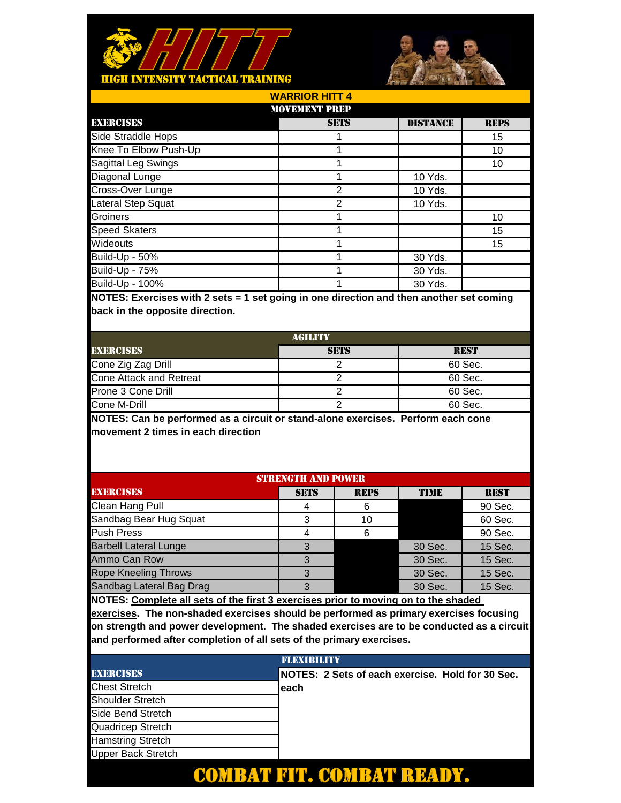



| <b>WARRIOR HITT 4</b> |                      |                 |             |  |
|-----------------------|----------------------|-----------------|-------------|--|
|                       | <b>MOVEMENT PREP</b> |                 |             |  |
| <b>EXERCISES</b>      | <b>SETS</b>          | <b>DISTANCE</b> | <b>REPS</b> |  |
| Side Straddle Hops    |                      |                 | 15          |  |
| Knee To Elbow Push-Up |                      |                 | 10          |  |
| Sagittal Leg Swings   |                      |                 | 10          |  |
| Diagonal Lunge        |                      | 10 Yds.         |             |  |
| Cross-Over Lunge      | 2                    | 10 Yds.         |             |  |
| Lateral Step Squat    | っ                    | 10 Yds.         |             |  |
| Groiners              |                      |                 | 10          |  |
| <b>Speed Skaters</b>  |                      |                 | 15          |  |
| Wideouts              |                      |                 | 15          |  |
| <b>Build-Up - 50%</b> |                      | 30 Yds.         |             |  |
| <b>Build-Up - 75%</b> |                      | 30 Yds.         |             |  |
| Build-Up - 100%       |                      | 30 Yds.         |             |  |

| AGILITY                 |             |             |  |
|-------------------------|-------------|-------------|--|
| <b>EXERCISES</b>        | <b>SETS</b> | <b>REST</b> |  |
| Cone Zig Zag Drill      |             | 60 Sec.     |  |
| Cone Attack and Retreat |             | 60 Sec.     |  |
| Prone 3 Cone Drill      |             | 60 Sec.     |  |
| Cone M-Drill            |             | 60 Sec.     |  |

**NOTES: Can be performed as a circuit or stand-alone exercises. Perform each cone movement 2 times in each direction**

| <b>STRENGTH AND POWER</b>    |             |             |             |             |
|------------------------------|-------------|-------------|-------------|-------------|
| <b>EXERCISES</b>             | <b>SETS</b> | <b>REPS</b> | <b>TIME</b> | <b>REST</b> |
| Clean Hang Pull              |             | 6           |             | 90 Sec.     |
| Sandbag Bear Hug Squat       | 3           | 10          |             | 60 Sec.     |
| <b>Push Press</b>            |             | 6           |             | 90 Sec.     |
| <b>Barbell Lateral Lunge</b> |             |             | 30 Sec.     | 15 Sec.     |
| Ammo Can Row                 | З           |             | 30 Sec.     | 15 Sec.     |
| <b>Rope Kneeling Throws</b>  | З           |             | 30 Sec.     | 15 Sec.     |
| Sandbag Lateral Bag Drag     | 3           |             | 30 Sec.     | 15 Sec.     |
|                              |             |             |             |             |

**NOTES: Complete all sets of the first 3 exercises prior to moving on to the shaded** 

|                           | <b>FLEXIBILITY</b>                               |  |  |
|---------------------------|--------------------------------------------------|--|--|
| <b>EXERCISES</b>          | NOTES: 2 Sets of each exercise. Hold for 30 Sec. |  |  |
| <b>Chest Stretch</b>      | each                                             |  |  |
| <b>Shoulder Stretch</b>   |                                                  |  |  |
| Side Bend Stretch         |                                                  |  |  |
| Quadricep Stretch         |                                                  |  |  |
| <b>Hamstring Stretch</b>  |                                                  |  |  |
| <b>Upper Back Stretch</b> |                                                  |  |  |
|                           |                                                  |  |  |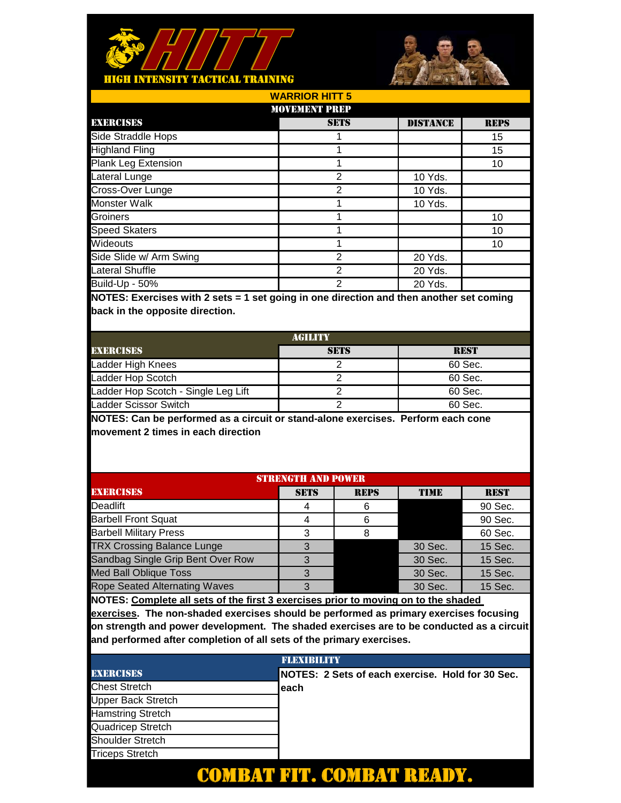



| <b>WARRIOR HITT 5</b>                                                                      |             |                 |             |  |
|--------------------------------------------------------------------------------------------|-------------|-----------------|-------------|--|
| <b>MOVEMENT PREP</b>                                                                       |             |                 |             |  |
| <b>EXERCISES</b>                                                                           | <b>SETS</b> | <b>DISTANCE</b> | <b>REPS</b> |  |
| Side Straddle Hops                                                                         |             |                 | 15          |  |
| <b>Highland Fling</b>                                                                      |             |                 | 15          |  |
| <b>Plank Leg Extension</b>                                                                 |             |                 | 10          |  |
| Lateral Lunge                                                                              | 2           | 10 Yds.         |             |  |
| Cross-Over Lunge                                                                           | 2           | 10 Yds.         |             |  |
| <b>Monster Walk</b>                                                                        |             | 10 Yds.         |             |  |
| Groiners                                                                                   |             |                 | 10          |  |
| <b>Speed Skaters</b>                                                                       |             |                 | 10          |  |
| Wideouts                                                                                   |             |                 | 10          |  |
| Side Slide w/ Arm Swing                                                                    | 2           | 20 Yds.         |             |  |
| <b>Lateral Shuffle</b>                                                                     | 2           | 20 Yds.         |             |  |
| <b>Build-Up - 50%</b>                                                                      | 2           | 20 Yds.         |             |  |
| $MOTE$ ; Exercises with $2,000 - 4,001$ gains in ano direction and then another act coming |             |                 |             |  |

| <b>AGILITY</b>                      |             |             |  |  |
|-------------------------------------|-------------|-------------|--|--|
| <b>EXERCISES</b>                    | <b>SETS</b> | <b>REST</b> |  |  |
| Ladder High Knees                   |             | 60 Sec.     |  |  |
| Ladder Hop Scotch                   |             | 60 Sec.     |  |  |
| Ladder Hop Scotch - Single Leg Lift |             | 60 Sec.     |  |  |
| Ladder Scissor Switch               |             | 60 Sec.     |  |  |

**NOTES: Can be performed as a circuit or stand-alone exercises. Perform each cone movement 2 times in each direction**

| <b>EXERCISES</b><br><b>REPS</b><br><b>SETS</b><br><b>TIME</b><br><b>REST</b> |   |                           |         |  |  |
|------------------------------------------------------------------------------|---|---------------------------|---------|--|--|
|                                                                              | 6 |                           | 90 Sec. |  |  |
|                                                                              |   |                           | 90 Sec. |  |  |
| 3                                                                            |   |                           | 60 Sec. |  |  |
| 3                                                                            |   | 30 Sec.                   | 15 Sec. |  |  |
|                                                                              |   | 30 Sec.                   | 15 Sec. |  |  |
| ર                                                                            |   | 30 Sec.                   | 15 Sec. |  |  |
| ર                                                                            |   | 30 Sec.                   | 15 Sec. |  |  |
|                                                                              |   | <b>STRENGTH AND POWER</b> |         |  |  |

**NOTES: Complete all sets of the first 3 exercises prior to moving on to the shaded** 

|                          | <b>FLEXIBILITY</b>                                |  |  |
|--------------------------|---------------------------------------------------|--|--|
| <b>EXERCISES</b>         | INOTES: 2 Sets of each exercise. Hold for 30 Sec. |  |  |
| <b>Chest Stretch</b>     | leach                                             |  |  |
| Upper Back Stretch       |                                                   |  |  |
| <b>Hamstring Stretch</b> |                                                   |  |  |
| Quadricep Stretch        |                                                   |  |  |
| Shoulder Stretch         |                                                   |  |  |
| <b>Triceps Stretch</b>   |                                                   |  |  |
|                          |                                                   |  |  |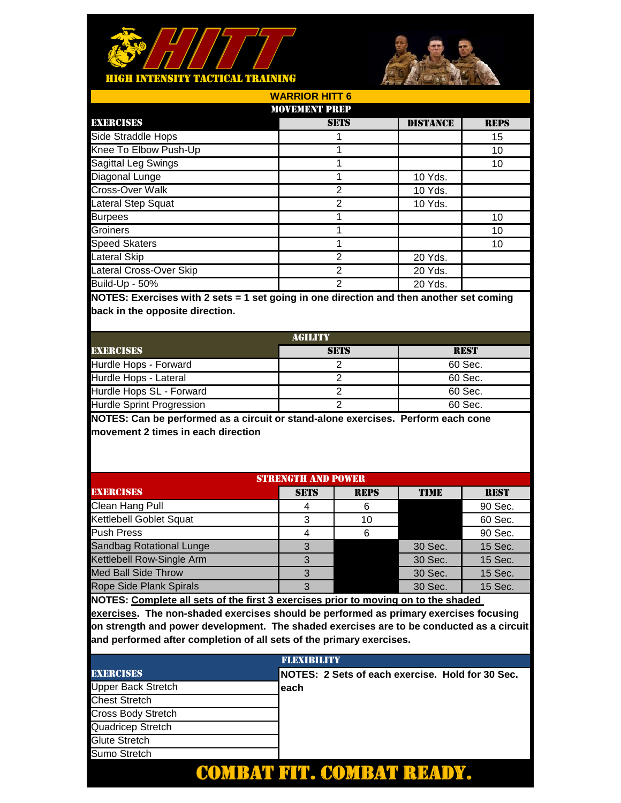



| <b>WARRIOR HITT 6</b>      |             |                 |             |  |  |
|----------------------------|-------------|-----------------|-------------|--|--|
| <b>MOVEMENT PREP</b>       |             |                 |             |  |  |
| <b>EXERCISES</b>           | <b>SETS</b> | <b>DISTANCE</b> | <b>REPS</b> |  |  |
| Side Straddle Hops         |             |                 | 15          |  |  |
| Knee To Elbow Push-Up      |             |                 | 10          |  |  |
| <b>Sagittal Leg Swings</b> |             |                 | 10          |  |  |
| Diagonal Lunge             |             | 10 Yds.         |             |  |  |
| Cross-Over Walk            | 2           | 10 Yds.         |             |  |  |
| Lateral Step Squat         | 2           | 10 Yds.         |             |  |  |
| <b>Burpees</b>             |             |                 | 10          |  |  |
| Groiners                   |             |                 | 10          |  |  |
| <b>Speed Skaters</b>       |             |                 | 10          |  |  |
| Lateral Skip               | 2           | 20 Yds.         |             |  |  |
| Lateral Cross-Over Skip    | 2           | 20 Yds.         |             |  |  |
| Build-Up - 50%             | 2           | 20 Yds.         |             |  |  |
|                            |             |                 |             |  |  |

| AGILITY                   |             |             |  |
|---------------------------|-------------|-------------|--|
| <b>EXERCISES</b>          | <b>SETS</b> | <b>REST</b> |  |
| Hurdle Hops - Forward     |             | 60 Sec.     |  |
| Hurdle Hops - Lateral     |             | 60 Sec.     |  |
| Hurdle Hops SL - Forward  |             | 60 Sec.     |  |
| Hurdle Sprint Progression |             | 60 Sec.     |  |

**NOTES: Can be performed as a circuit or stand-alone exercises. Perform each cone movement 2 times in each direction**

| <b>STRENGTH AND POWER</b>       |             |             |             |             |  |
|---------------------------------|-------------|-------------|-------------|-------------|--|
| <b>EXERCISES</b>                | <b>SETS</b> | <b>REPS</b> | <b>TIME</b> | <b>REST</b> |  |
| Clean Hang Pull                 | 4           | 6           |             | 90 Sec.     |  |
| Kettlebell Goblet Squat         | 3           | 10          |             | 60 Sec.     |  |
| <b>Push Press</b>               | 4           | 6           |             | 90 Sec.     |  |
| <b>Sandbag Rotational Lunge</b> |             |             | 30 Sec.     | 15 Sec.     |  |
| Kettlebell Row-Single Arm       |             |             | 30 Sec.     | 15 Sec.     |  |
| <b>Med Ball Side Throw</b>      | З           |             | 30 Sec.     | 15 Sec.     |  |
| <b>Rope Side Plank Spirals</b>  | З           |             | 30 Sec.     | 15 Sec.     |  |
|                                 |             |             |             |             |  |

**NOTES: Complete all sets of the first 3 exercises prior to moving on to the shaded** 

|                           | <b>FLEXIBILITY</b>                               |
|---------------------------|--------------------------------------------------|
| <b>EXERCISES</b>          | NOTES: 2 Sets of each exercise. Hold for 30 Sec. |
| Upper Back Stretch        | leach                                            |
| <b>Chest Stretch</b>      |                                                  |
| <b>Cross Body Stretch</b> |                                                  |
| Quadricep Stretch         |                                                  |
| Glute Stretch             |                                                  |
| Sumo Stretch              |                                                  |
|                           |                                                  |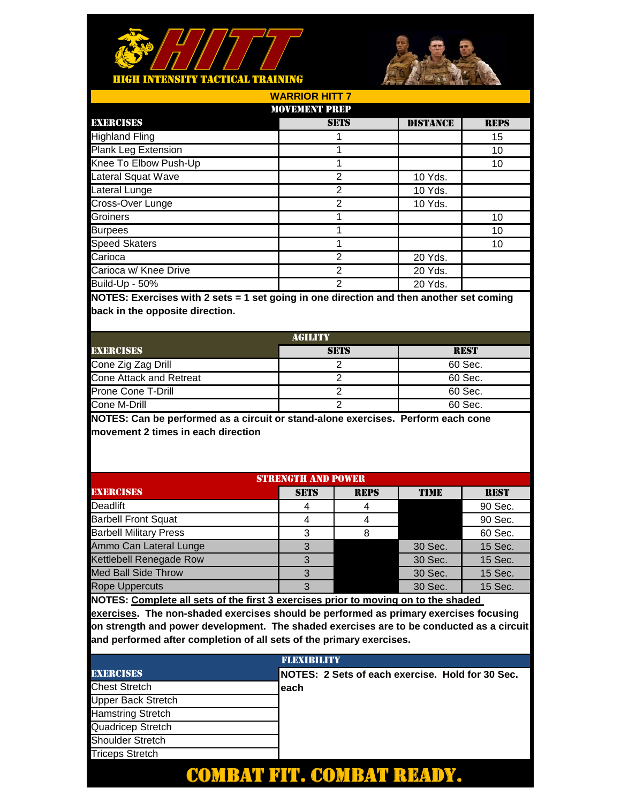



| <b>WARRIOR HITT 7</b> |                      |                 |             |  |
|-----------------------|----------------------|-----------------|-------------|--|
|                       | <b>MOVEMENT PREP</b> |                 |             |  |
| <b>EXERCISES</b>      | <b>SETS</b>          | <b>DISTANCE</b> | <b>REPS</b> |  |
| <b>Highland Fling</b> |                      |                 | 15          |  |
| Plank Leg Extension   |                      |                 | 10          |  |
| Knee To Elbow Push-Up |                      |                 | 10          |  |
| Lateral Squat Wave    | 2                    | 10 Yds.         |             |  |
| Lateral Lunge         | 2                    | 10 Yds.         |             |  |
| Cross-Over Lunge      | 2                    | 10 Yds.         |             |  |
| Groiners              |                      |                 | 10          |  |
| <b>Burpees</b>        |                      |                 | 10          |  |
| <b>Speed Skaters</b>  |                      |                 | 10          |  |
| Carioca               | 2                    | 20 Yds.         |             |  |
| Carioca w/ Knee Drive | 2                    | 20 Yds.         |             |  |
| <b>Build-Up - 50%</b> | 2                    | 20 Yds.         |             |  |

| AGILITY                 |             |             |  |
|-------------------------|-------------|-------------|--|
| <b>EXERCISES</b>        | <b>SETS</b> | <b>REST</b> |  |
| Cone Zig Zag Drill      |             | 60 Sec.     |  |
| Cone Attack and Retreat |             | 60 Sec.     |  |
| Prone Cone T-Drill      |             | 60 Sec.     |  |
| Cone M-Drill            |             | 60 Sec.     |  |

**NOTES: Can be performed as a circuit or stand-alone exercises. Perform each cone movement 2 times in each direction**

| <b>STRENGTH AND POWER</b>     |             |             |             |             |  |
|-------------------------------|-------------|-------------|-------------|-------------|--|
| <b>EXERCISES</b>              | <b>SETS</b> | <b>REPS</b> | <b>TIME</b> | <b>REST</b> |  |
| Deadlift                      |             |             |             | 90 Sec.     |  |
| <b>Barbell Front Squat</b>    |             |             |             | 90 Sec.     |  |
| <b>Barbell Military Press</b> | З           |             |             | 60 Sec.     |  |
| Ammo Can Lateral Lunge        | 3           |             | 30 Sec.     | 15 Sec.     |  |
| Kettlebell Renegade Row       |             |             | 30 Sec.     | 15 Sec.     |  |
| <b>Med Ball Side Throw</b>    |             |             | 30 Sec.     | 15 Sec.     |  |
| <b>Rope Uppercuts</b>         |             |             | 30 Sec.     | 15 Sec.     |  |
|                               |             |             |             |             |  |

**NOTES: Complete all sets of the first 3 exercises prior to moving on to the shaded** 

|                           | <b>FLEXIBILITY</b>                               |
|---------------------------|--------------------------------------------------|
| <b>EXERCISES</b>          | NOTES: 2 Sets of each exercise. Hold for 30 Sec. |
| <b>Chest Stretch</b>      | leach                                            |
| <b>Upper Back Stretch</b> |                                                  |
| <b>Hamstring Stretch</b>  |                                                  |
| Quadricep Stretch         |                                                  |
| <b>Shoulder Stretch</b>   |                                                  |
| <b>Triceps Stretch</b>    |                                                  |
|                           |                                                  |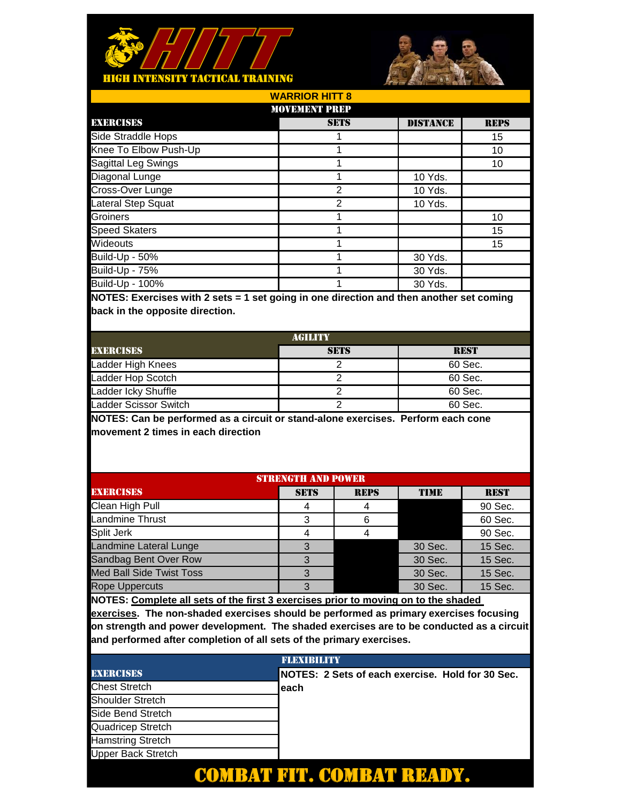



| <b>WARRIOR HITT 8</b> |                |                 |             |  |  |
|-----------------------|----------------|-----------------|-------------|--|--|
| <b>MOVEMENT PREP</b>  |                |                 |             |  |  |
| <b>EXERCISES</b>      | <b>SETS</b>    | <b>DISTANCE</b> | <b>REPS</b> |  |  |
| Side Straddle Hops    |                |                 | 15          |  |  |
| Knee To Elbow Push-Up |                |                 | 10          |  |  |
| Sagittal Leg Swings   |                |                 | 10          |  |  |
| Diagonal Lunge        |                | 10 Yds.         |             |  |  |
| Cross-Over Lunge      | $\overline{2}$ | 10 Yds.         |             |  |  |
| Lateral Step Squat    | 2              | 10 Yds.         |             |  |  |
| Groiners              |                |                 | 10          |  |  |
| <b>Speed Skaters</b>  |                |                 | 15          |  |  |
| Wideouts              |                |                 | 15          |  |  |
| Build-Up - 50%        |                | 30 Yds.         |             |  |  |
| <b>Build-Up - 75%</b> |                | 30 Yds.         |             |  |  |
| Build-Up - 100%       |                | 30 Yds.         |             |  |  |

| <b>AGILITY</b>        |             |             |  |  |
|-----------------------|-------------|-------------|--|--|
| <b>EXERCISES</b>      | <b>SETS</b> | <b>REST</b> |  |  |
| Ladder High Knees     |             | 60 Sec.     |  |  |
| Ladder Hop Scotch     |             | 60 Sec.     |  |  |
| Ladder Icky Shuffle   |             | 60 Sec.     |  |  |
| Ladder Scissor Switch |             | 60 Sec.     |  |  |

**NOTES: Can be performed as a circuit or stand-alone exercises. Perform each cone movement 2 times in each direction**

| <b>STRENGTH AND POWER</b>       |             |             |             |             |  |
|---------------------------------|-------------|-------------|-------------|-------------|--|
| <b>EXERCISES</b>                | <b>SETS</b> | <b>REPS</b> | <b>TIME</b> | <b>REST</b> |  |
| Clean High Pull                 | 4           |             |             | 90 Sec.     |  |
| <b>Landmine Thrust</b>          | 3           | 6           |             | 60 Sec.     |  |
| Split Jerk                      | 4           |             |             | 90 Sec.     |  |
| <b>Landmine Lateral Lunge</b>   |             |             | 30 Sec.     | 15 Sec.     |  |
| Sandbag Bent Over Row           |             |             | 30 Sec.     | 15 Sec.     |  |
| <b>Med Ball Side Twist Toss</b> | 3           |             | 30 Sec.     | 15 Sec.     |  |
| <b>Rope Uppercuts</b>           | 3           |             | 30 Sec.     | 15 Sec.     |  |
|                                 |             |             |             |             |  |

**NOTES: Complete all sets of the first 3 exercises prior to moving on to the shaded** 

|                           | <b>FLEXIBILITY</b>                               |
|---------------------------|--------------------------------------------------|
| <b>EXERCISES</b>          | NOTES: 2 Sets of each exercise. Hold for 30 Sec. |
| <b>Chest Stretch</b>      | leach                                            |
| <b>Shoulder Stretch</b>   |                                                  |
| Side Bend Stretch         |                                                  |
| Quadricep Stretch         |                                                  |
| <b>Hamstring Stretch</b>  |                                                  |
| <b>Upper Back Stretch</b> |                                                  |
|                           |                                                  |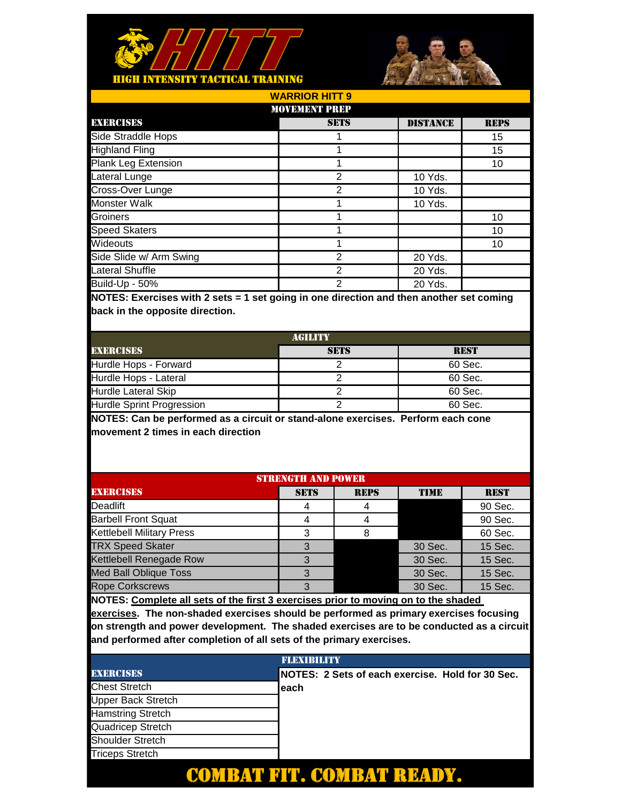



| <b>WARRIOR HITT 9</b>   |                |                 |             |  |  |
|-------------------------|----------------|-----------------|-------------|--|--|
| <b>MOVEMENT PREP</b>    |                |                 |             |  |  |
| <b>EXERCISES</b>        | <b>SETS</b>    | <b>DISTANCE</b> | <b>REPS</b> |  |  |
| Side Straddle Hops      |                |                 | 15          |  |  |
| <b>Highland Fling</b>   |                |                 | 15          |  |  |
| Plank Leg Extension     |                |                 | 10          |  |  |
| Lateral Lunge           | $\overline{2}$ | 10 Yds.         |             |  |  |
| Cross-Over Lunge        | $\overline{2}$ | 10 Yds.         |             |  |  |
| <b>Monster Walk</b>     |                | 10 Yds.         |             |  |  |
| Groiners                |                |                 | 10          |  |  |
| <b>Speed Skaters</b>    |                |                 | 10          |  |  |
| Wideouts                |                |                 | 10          |  |  |
| Side Slide w/ Arm Swing | $\overline{2}$ | 20 Yds.         |             |  |  |
| <b>Lateral Shuffle</b>  | $\mathfrak{p}$ | 20 Yds.         |             |  |  |
| Build-Up - 50%          | $\overline{2}$ | 20 Yds.         |             |  |  |

| <b>AGILITY</b>             |             |             |  |  |
|----------------------------|-------------|-------------|--|--|
| <b>EXERCISES</b>           | <b>SETS</b> | <b>REST</b> |  |  |
| Hurdle Hops - Forward      |             | 60 Sec.     |  |  |
| Hurdle Hops - Lateral      |             | 60 Sec.     |  |  |
| <b>Hurdle Lateral Skip</b> |             | 60 Sec.     |  |  |
| Hurdle Sprint Progression  |             | 60 Sec.     |  |  |

**NOTES: Can be performed as a circuit or stand-alone exercises. Perform each cone movement 2 times in each direction**

| <b>STRENGTH AND POWER</b>        |             |             |             |             |  |
|----------------------------------|-------------|-------------|-------------|-------------|--|
| <b>EXERCISES</b>                 | <b>SETS</b> | <b>REPS</b> | <b>TIME</b> | <b>REST</b> |  |
| Deadlift                         |             |             |             | 90 Sec.     |  |
| <b>Barbell Front Squat</b>       |             |             |             | 90 Sec.     |  |
| <b>Kettlebell Military Press</b> | З           |             |             | 60 Sec.     |  |
| <b>TRX Speed Skater</b>          | 3           |             | 30 Sec.     | 15 Sec.     |  |
| Kettlebell Renegade Row          |             |             | 30 Sec.     | 15 Sec.     |  |
| <b>Med Ball Oblique Toss</b>     |             |             | 30 Sec.     | 15 Sec.     |  |
| <b>Rope Corkscrews</b>           |             |             | 30 Sec.     | 15 Sec.     |  |
|                                  |             |             |             |             |  |

**NOTES: Complete all sets of the first 3 exercises prior to moving on to the shaded** 

|                           | <b>FLEXIBILITY</b>                               |
|---------------------------|--------------------------------------------------|
| <b>EXERCISES</b>          | NOTES: 2 Sets of each exercise. Hold for 30 Sec. |
| <b>Chest Stretch</b>      | leach                                            |
| <b>Upper Back Stretch</b> |                                                  |
| <b>Hamstring Stretch</b>  |                                                  |
| Quadricep Stretch         |                                                  |
| <b>Shoulder Stretch</b>   |                                                  |
| <b>Triceps Stretch</b>    |                                                  |
|                           |                                                  |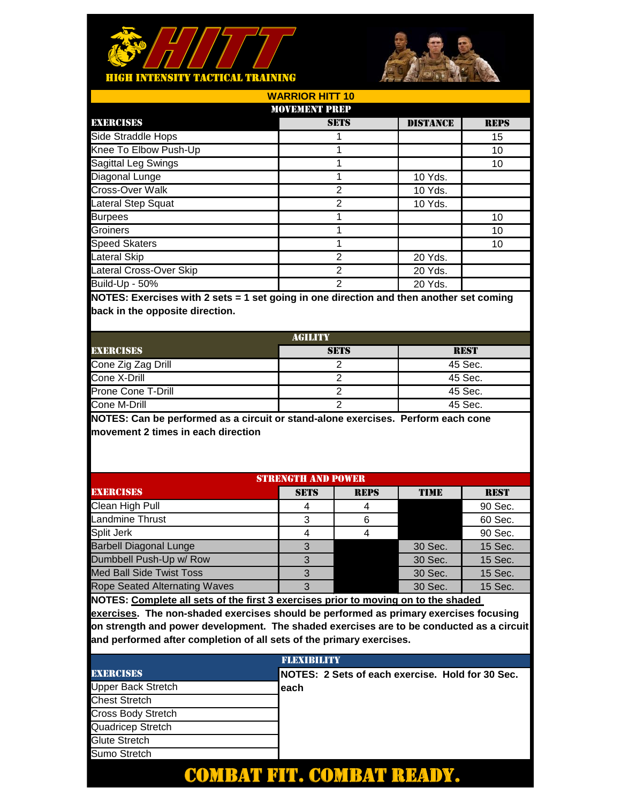



DISTANCE REPS 15 10 10 10 Yds. 10 Yds. 10 Yds. 10 10 10 20 Yds. 20 Yds. 20 Yds. 1 1 **SETS** 1  $\overline{2}$ 2 1 1 2 2 2 1 1 Burpees **Groiners** Lateral Cross-Over Skip Build-Up - 50% **WARRIOR HITT 10** MOVEMENT PREP EXERCISES Side Straddle Hops Speed Skaters Lateral Skip Knee To Elbow Push-Up Sagittal Leg Swings Diagonal Lunge Cross-Over Walk Lateral Step Squat

**NOTES: Exercises with 2 sets = 1 set going in one direction and then another set coming back in the opposite direction.** 

| <b>AGILITY</b>     |             |             |  |  |
|--------------------|-------------|-------------|--|--|
| <b>EXERCISES</b>   | <b>SETS</b> | <b>REST</b> |  |  |
| Cone Zig Zag Drill |             | 45 Sec.     |  |  |
| Cone X-Drill       |             | 45 Sec.     |  |  |
| Prone Cone T-Drill |             | 45 Sec.     |  |  |
| Cone M-Drill       |             | 45 Sec.     |  |  |

**NOTES: Can be performed as a circuit or stand-alone exercises. Perform each cone movement 2 times in each direction**

| <b>STRENGTH AND POWER</b>            |             |             |             |             |  |
|--------------------------------------|-------------|-------------|-------------|-------------|--|
| <b>EXERCISES</b>                     | <b>SETS</b> | <b>REPS</b> | <b>TIME</b> | <b>REST</b> |  |
| Clean High Pull                      | 4           |             |             | 90 Sec.     |  |
| <b>Landmine Thrust</b>               | 3           | 6           |             | 60 Sec.     |  |
| Split Jerk                           |             |             |             | 90 Sec.     |  |
| <b>Barbell Diagonal Lunge</b>        | 3           |             | 30 Sec.     | 15 Sec.     |  |
| Dumbbell Push-Up w/ Row              |             |             | 30 Sec.     | 15 Sec.     |  |
| Med Ball Side Twist Toss             | З           |             | 30 Sec.     | 15 Sec.     |  |
| <b>Rope Seated Alternating Waves</b> | З           |             | 30 Sec.     | 15 Sec.     |  |
|                                      |             |             |             |             |  |

**NOTES: Complete all sets of the first 3 exercises prior to moving on to the shaded** 

|                      | <b>FLEXIBILITY</b>                               |
|----------------------|--------------------------------------------------|
| <b>EXERCISES</b>     | NOTES: 2 Sets of each exercise. Hold for 30 Sec. |
| Upper Back Stretch   | each                                             |
| <b>Chest Stretch</b> |                                                  |
| Cross Body Stretch   |                                                  |
| Quadricep Stretch    |                                                  |
| <b>Glute Stretch</b> |                                                  |
| Sumo Stretch         |                                                  |
|                      |                                                  |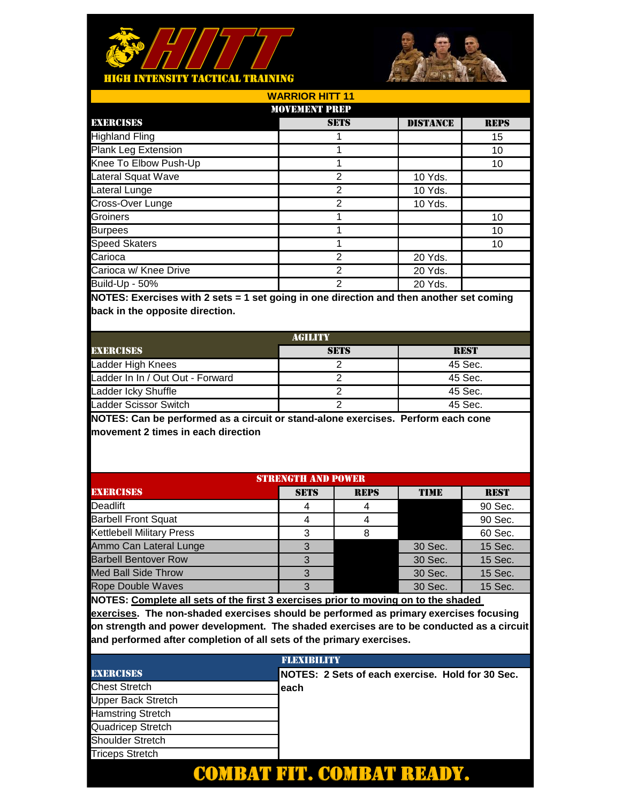



| <b>WARRIOR HITT 11</b> |                      |                 |             |  |  |  |
|------------------------|----------------------|-----------------|-------------|--|--|--|
|                        | <b>MOVEMENT PREP</b> |                 |             |  |  |  |
| <b>EXERCISES</b>       | <b>SETS</b>          | <b>DISTANCE</b> | <b>REPS</b> |  |  |  |
| <b>Highland Fling</b>  |                      |                 | 15          |  |  |  |
| Plank Leg Extension    |                      |                 | 10          |  |  |  |
| Knee To Elbow Push-Up  |                      |                 | 10          |  |  |  |
| Lateral Squat Wave     | 2                    | 10 Yds.         |             |  |  |  |
| Lateral Lunge          | 2                    | 10 Yds.         |             |  |  |  |
| Cross-Over Lunge       | 2                    | 10 Yds.         |             |  |  |  |
| Groiners               |                      |                 | 10          |  |  |  |
| <b>Burpees</b>         |                      |                 | 10          |  |  |  |
| <b>Speed Skaters</b>   |                      |                 | 10          |  |  |  |
| Carioca                | 2                    | 20 Yds.         |             |  |  |  |
| Carioca w/ Knee Drive  | 2                    | 20 Yds.         |             |  |  |  |
| <b>Build-Up - 50%</b>  | 2                    | 20 Yds.         |             |  |  |  |

| AGILITY                          |             |             |  |  |
|----------------------------------|-------------|-------------|--|--|
| <b>EXERCISES</b>                 | <b>SETS</b> | <b>REST</b> |  |  |
| Ladder High Knees                |             | 45 Sec.     |  |  |
| Ladder In In / Out Out - Forward |             | 45 Sec.     |  |  |
| Ladder Icky Shuffle              |             | 45 Sec.     |  |  |
| Ladder Scissor Switch            |             | 45 Sec.     |  |  |

**NOTES: Can be performed as a circuit or stand-alone exercises. Perform each cone movement 2 times in each direction**

| <b>STRENGTH AND POWER</b> |             |             |             |  |  |
|---------------------------|-------------|-------------|-------------|--|--|
| <b>SETS</b>               | <b>REPS</b> | <b>TIME</b> | <b>REST</b> |  |  |
|                           |             |             | 90 Sec.     |  |  |
|                           |             |             | 90 Sec.     |  |  |
| 3                         |             |             | 60 Sec.     |  |  |
| 3                         |             | 30 Sec.     | 15 Sec.     |  |  |
|                           |             | 30 Sec.     | 15 Sec.     |  |  |
| 3                         |             | 30 Sec.     | 15 Sec.     |  |  |
| 3                         |             | 30 Sec.     | 15 Sec.     |  |  |
|                           |             |             |             |  |  |

**NOTES: Complete all sets of the first 3 exercises prior to moving on to the shaded** 

|                           | <b>FLEXIBILITY</b>                               |
|---------------------------|--------------------------------------------------|
| <b>EXERCISES</b>          | NOTES: 2 Sets of each exercise. Hold for 30 Sec. |
| <b>Chest Stretch</b>      | leach                                            |
| <b>Upper Back Stretch</b> |                                                  |
| <b>Hamstring Stretch</b>  |                                                  |
| Quadricep Stretch         |                                                  |
| <b>Shoulder Stretch</b>   |                                                  |
| <b>Triceps Stretch</b>    |                                                  |
|                           |                                                  |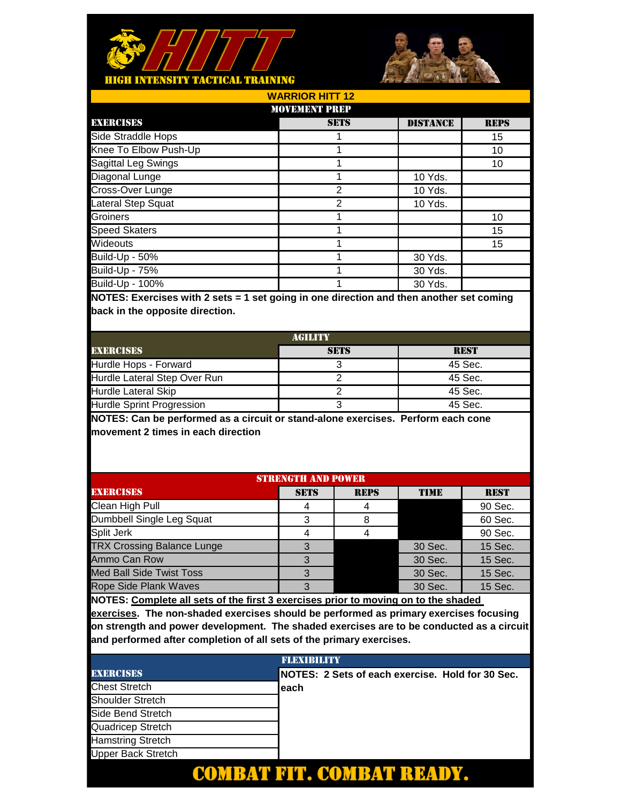



| <b>WARRIOR HITT 12</b> |                 |             |  |  |
|------------------------|-----------------|-------------|--|--|
| <b>MOVEMENT PREP</b>   |                 |             |  |  |
| <b>SETS</b>            | <b>DISTANCE</b> | <b>REPS</b> |  |  |
|                        |                 | 15          |  |  |
|                        |                 | 10          |  |  |
|                        |                 | 10          |  |  |
|                        | 10 Yds.         |             |  |  |
| 2                      | 10 Yds.         |             |  |  |
| 2                      | 10 Yds.         |             |  |  |
|                        |                 | 10          |  |  |
|                        |                 | 15          |  |  |
|                        |                 | 15          |  |  |
|                        | 30 Yds.         |             |  |  |
|                        | 30 Yds.         |             |  |  |
|                        | 30 Yds.         |             |  |  |
|                        |                 |             |  |  |

| <b>AGILITY</b>               |             |             |  |  |
|------------------------------|-------------|-------------|--|--|
| <b>EXERCISES</b>             | <b>SETS</b> | <b>REST</b> |  |  |
| Hurdle Hops - Forward        |             | 45 Sec.     |  |  |
| Hurdle Lateral Step Over Run |             | 45 Sec.     |  |  |
| <b>Hurdle Lateral Skip</b>   |             | 45 Sec.     |  |  |
| Hurdle Sprint Progression    |             | 45 Sec.     |  |  |

**NOTES: Can be performed as a circuit or stand-alone exercises. Perform each cone movement 2 times in each direction**

| <b>STRENGTH AND POWER</b>         |             |             |         |             |  |  |
|-----------------------------------|-------------|-------------|---------|-------------|--|--|
| <b>EXERCISES</b>                  | <b>SETS</b> | <b>REPS</b> | TIME    | <b>REST</b> |  |  |
| Clean High Pull                   | 4           |             |         | 90 Sec.     |  |  |
| Dumbbell Single Leg Squat         | 3           |             |         | 60 Sec.     |  |  |
| Split Jerk                        |             |             |         | 90 Sec.     |  |  |
| <b>TRX Crossing Balance Lunge</b> |             |             | 30 Sec. | 15 Sec.     |  |  |
| Ammo Can Row                      |             |             | 30 Sec. | 15 Sec.     |  |  |
| <b>Med Ball Side Twist Toss</b>   | 3           |             | 30 Sec. | 15 Sec.     |  |  |
| <b>Rope Side Plank Waves</b>      | 3           |             | 30 Sec. | 15 Sec.     |  |  |
|                                   |             |             |         |             |  |  |

**NOTES: Complete all sets of the first 3 exercises prior to moving on to the shaded** 

|                           | <b>FLEXIBILITY</b>                               |
|---------------------------|--------------------------------------------------|
| <b>EXERCISES</b>          | NOTES: 2 Sets of each exercise. Hold for 30 Sec. |
| <b>Chest Stretch</b>      | leach                                            |
| <b>Shoulder Stretch</b>   |                                                  |
| Side Bend Stretch         |                                                  |
| Quadricep Stretch         |                                                  |
| <b>Hamstring Stretch</b>  |                                                  |
| <b>Upper Back Stretch</b> |                                                  |
|                           |                                                  |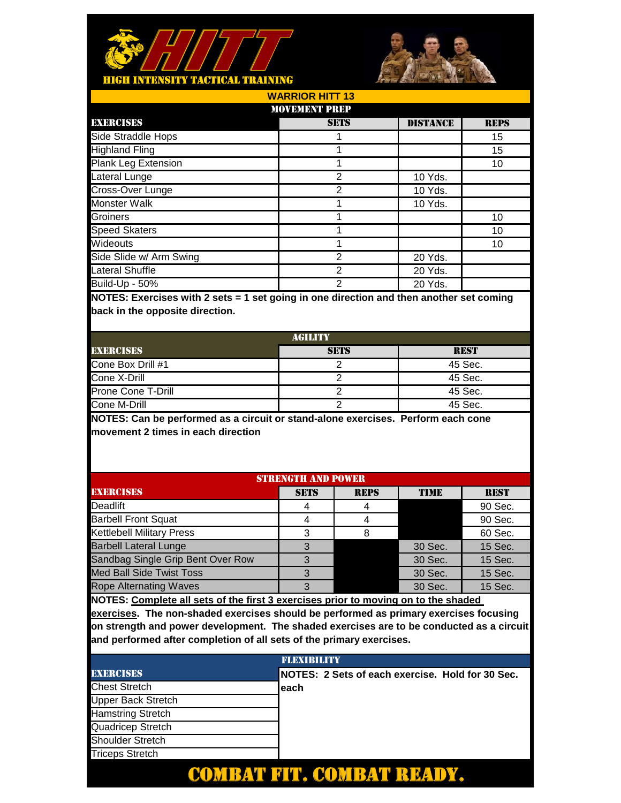



| <b>WARRIOR HITT 13</b>  |                      |                 |             |  |  |  |
|-------------------------|----------------------|-----------------|-------------|--|--|--|
|                         | <b>MOVEMENT PREP</b> |                 |             |  |  |  |
| <b>EXERCISES</b>        | <b>SETS</b>          | <b>DISTANCE</b> | <b>REPS</b> |  |  |  |
| Side Straddle Hops      |                      |                 | 15          |  |  |  |
| <b>Highland Fling</b>   |                      |                 | 15          |  |  |  |
| Plank Leg Extension     |                      |                 | 10          |  |  |  |
| Lateral Lunge           | 2                    | 10 Yds.         |             |  |  |  |
| Cross-Over Lunge        | $\overline{2}$       | 10 Yds.         |             |  |  |  |
| <b>Monster Walk</b>     |                      | 10 Yds.         |             |  |  |  |
| Groiners                |                      |                 | 10          |  |  |  |
| <b>Speed Skaters</b>    |                      |                 | 10          |  |  |  |
| Wideouts                |                      |                 | 10          |  |  |  |
| Side Slide w/ Arm Swing | 2                    | 20 Yds.         |             |  |  |  |
| <b>Lateral Shuffle</b>  | 2                    | 20 Yds.         |             |  |  |  |
| Build-Up - 50%          | 2                    | 20 Yds.         |             |  |  |  |
|                         |                      |                 |             |  |  |  |

| AGILITY            |             |             |  |  |
|--------------------|-------------|-------------|--|--|
| <b>EXERCISES</b>   | <b>SETS</b> | <b>REST</b> |  |  |
| Cone Box Drill #1  |             | 45 Sec.     |  |  |
| Cone X-Drill       |             | 45 Sec.     |  |  |
| Prone Cone T-Drill |             | 45 Sec.     |  |  |
| Cone M-Drill       |             | 45 Sec.     |  |  |

**NOTES: Can be performed as a circuit or stand-alone exercises. Perform each cone movement 2 times in each direction**

| <b>STRENGTH AND POWER</b>         |             |             |             |             |  |
|-----------------------------------|-------------|-------------|-------------|-------------|--|
| <b>EXERCISES</b>                  | <b>SETS</b> | <b>REPS</b> | <b>TIME</b> | <b>REST</b> |  |
| Deadlift                          |             |             |             | 90 Sec.     |  |
| <b>Barbell Front Squat</b>        |             |             |             | 90 Sec.     |  |
| <b>Kettlebell Military Press</b>  | 3           |             |             | 60 Sec.     |  |
| <b>Barbell Lateral Lunge</b>      |             |             | 30 Sec.     | 15 Sec.     |  |
| Sandbag Single Grip Bent Over Row | З           |             | 30 Sec.     | 15 Sec.     |  |
| <b>Med Ball Side Twist Toss</b>   | З           |             | 30 Sec.     | 15 Sec.     |  |
| <b>Rope Alternating Waves</b>     |             |             | 30 Sec.     | 15 Sec.     |  |

**NOTES: Complete all sets of the first 3 exercises prior to moving on to the shaded** 

|                           | <b>FLEXIBILITY</b>                               |
|---------------------------|--------------------------------------------------|
| <b>EXERCISES</b>          | NOTES: 2 Sets of each exercise. Hold for 30 Sec. |
| <b>Chest Stretch</b>      | leach                                            |
| <b>Upper Back Stretch</b> |                                                  |
| <b>Hamstring Stretch</b>  |                                                  |
| Quadricep Stretch         |                                                  |
| <b>Shoulder Stretch</b>   |                                                  |
| <b>Triceps Stretch</b>    |                                                  |
|                           |                                                  |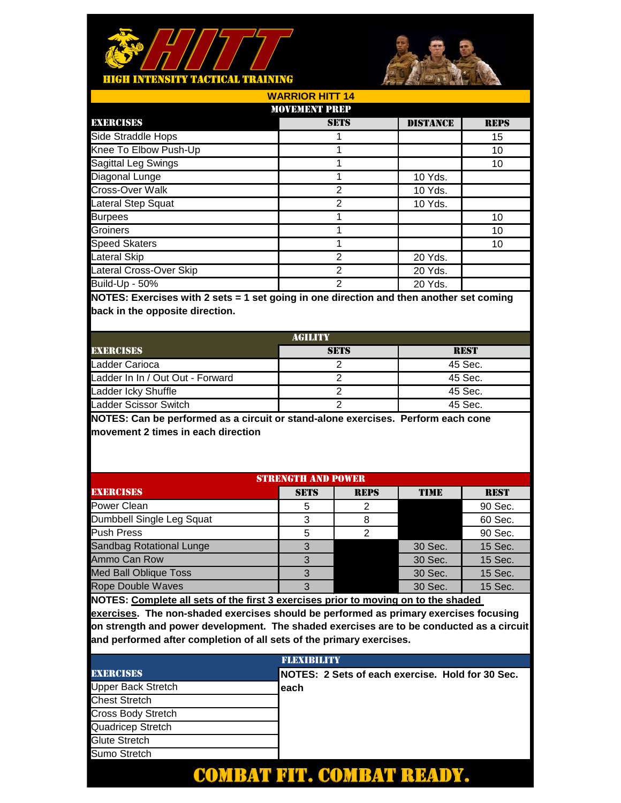



| <b>WARRIOR HITT 14</b>  |                      |                 |             |  |
|-------------------------|----------------------|-----------------|-------------|--|
|                         | <b>MOVEMENT PREP</b> |                 |             |  |
| <b>EXERCISES</b>        | <b>SETS</b>          | <b>DISTANCE</b> | <b>REPS</b> |  |
| Side Straddle Hops      |                      |                 | 15          |  |
| Knee To Elbow Push-Up   |                      |                 | 10          |  |
| Sagittal Leg Swings     |                      |                 | 10          |  |
| Diagonal Lunge          |                      | 10 Yds.         |             |  |
| Cross-Over Walk         | 2                    | 10 Yds.         |             |  |
| Lateral Step Squat      | 2                    | 10 Yds.         |             |  |
| <b>Burpees</b>          |                      |                 | 10          |  |
| Groiners                |                      |                 | 10          |  |
| <b>Speed Skaters</b>    |                      |                 | 10          |  |
| Lateral Skip            | 2                    | 20 Yds.         |             |  |
| Lateral Cross-Over Skip | 2                    | 20 Yds.         |             |  |
| Build-Up - 50%          | 2                    | 20 Yds.         |             |  |

| AGILITY                          |             |             |  |  |
|----------------------------------|-------------|-------------|--|--|
| <b>EXERCISES</b>                 | <b>SETS</b> | <b>REST</b> |  |  |
| Ladder Carioca                   |             | 45 Sec.     |  |  |
| Ladder In In / Out Out - Forward |             | 45 Sec.     |  |  |
| Ladder Icky Shuffle              |             | 45 Sec.     |  |  |
| Ladder Scissor Switch            |             | 45 Sec.     |  |  |

**NOTES: Can be performed as a circuit or stand-alone exercises. Perform each cone movement 2 times in each direction**

| <b>STRENGTH AND POWER</b>       |             |             |             |             |
|---------------------------------|-------------|-------------|-------------|-------------|
| <b>EXERCISES</b>                | <b>SETS</b> | <b>REPS</b> | <b>TIME</b> | <b>REST</b> |
| Power Clean                     | 5           |             |             | 90 Sec.     |
| Dumbbell Single Leg Squat       | 3           |             |             | 60 Sec.     |
| <b>Push Press</b>               | 5           |             |             | 90 Sec.     |
| <b>Sandbag Rotational Lunge</b> |             |             | 30 Sec.     | 15 Sec.     |
| Ammo Can Row                    |             |             | 30 Sec.     | 15 Sec.     |
| <b>Med Ball Oblique Toss</b>    | З           |             | 30 Sec.     | 15 Sec.     |
| <b>Rope Double Waves</b>        | З           |             | 30 Sec.     | 15 Sec.     |
|                                 |             |             |             |             |

**NOTES: Complete all sets of the first 3 exercises prior to moving on to the shaded** 

|                           | <b>FLEXIBILITY</b>                               |
|---------------------------|--------------------------------------------------|
| <b>EXERCISES</b>          | NOTES: 2 Sets of each exercise. Hold for 30 Sec. |
| Upper Back Stretch        | leach                                            |
| <b>Chest Stretch</b>      |                                                  |
| <b>Cross Body Stretch</b> |                                                  |
| Quadricep Stretch         |                                                  |
| Glute Stretch             |                                                  |
| Sumo Stretch              |                                                  |
|                           |                                                  |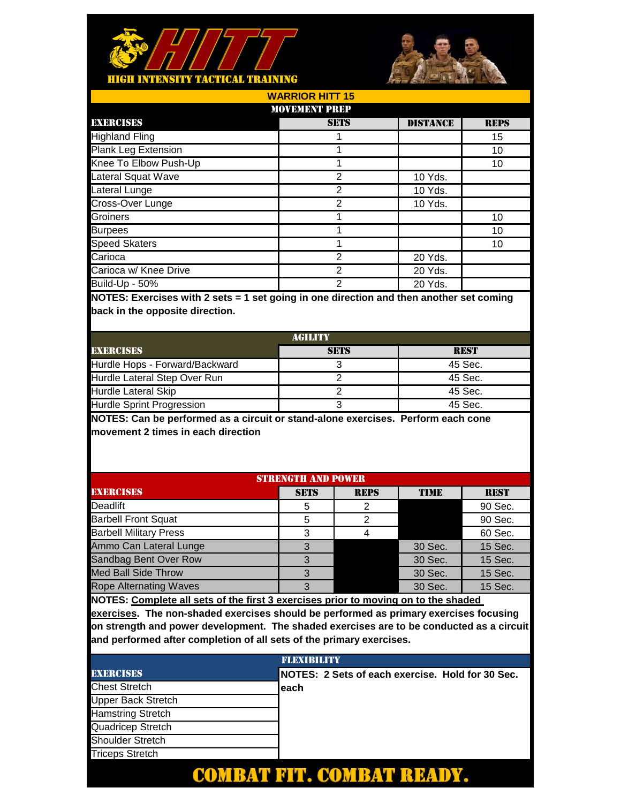



DISTANCE REPS 15 10 10 10 Yds. 10 Yds. 10 Yds. 10 10 10 20 Yds. 20 Yds. 20 Yds. 1 1 **SETS** 1  $\overline{2}$ 2 2 1 2 2 2 1 1 Groiners Burpees Carioca w/ Knee Drive Build-Up - 50% **WARRIOR HITT 15** MOVEMENT PREP EXERCISES Highland Fling Speed Skaters Carioca Plank Leg Extension Knee To Elbow Push-Up Lateral Squat Wave Lateral Lunge Cross-Over Lunge

**NOTES: Exercises with 2 sets = 1 set going in one direction and then another set coming back in the opposite direction.** 

| AGILITY                          |             |             |  |  |
|----------------------------------|-------------|-------------|--|--|
| <b>EXERCISES</b>                 | <b>SETS</b> | <b>REST</b> |  |  |
| Hurdle Hops - Forward/Backward   |             | 45 Sec.     |  |  |
| Hurdle Lateral Step Over Run     |             | 45 Sec.     |  |  |
| <b>Hurdle Lateral Skip</b>       |             | 45 Sec.     |  |  |
| <b>Hurdle Sprint Progression</b> |             | 45 Sec.     |  |  |

**NOTES: Can be performed as a circuit or stand-alone exercises. Perform each cone movement 2 times in each direction**

| <b>STRENGTH AND POWER</b>     |             |             |             |             |  |
|-------------------------------|-------------|-------------|-------------|-------------|--|
| <b>EXERCISES</b>              | <b>SETS</b> | <b>REPS</b> | <b>TIME</b> | <b>REST</b> |  |
| Deadlift                      | 5           |             |             | 90 Sec.     |  |
| <b>Barbell Front Squat</b>    | 5           |             |             | 90 Sec.     |  |
| <b>Barbell Military Press</b> | 3           |             |             | 60 Sec.     |  |
| Ammo Can Lateral Lunge        | 3           |             | 30 Sec.     | 15 Sec.     |  |
| Sandbag Bent Over Row         |             |             | 30 Sec.     | 15 Sec.     |  |
| <b>Med Ball Side Throw</b>    | З           |             | 30 Sec.     | 15 Sec.     |  |
| <b>Rope Alternating Waves</b> | 3           |             | 30 Sec.     | 15 Sec.     |  |
|                               |             |             |             |             |  |

**NOTES: Complete all sets of the first 3 exercises prior to moving on to the shaded** 

|                           | <b>FLEXIBILITY</b>                               |
|---------------------------|--------------------------------------------------|
| <b>EXERCISES</b>          | NOTES: 2 Sets of each exercise. Hold for 30 Sec. |
| <b>Chest Stretch</b>      | leach                                            |
| <b>Upper Back Stretch</b> |                                                  |
| <b>Hamstring Stretch</b>  |                                                  |
| Quadricep Stretch         |                                                  |
| <b>Shoulder Stretch</b>   |                                                  |
| <b>Triceps Stretch</b>    |                                                  |
|                           |                                                  |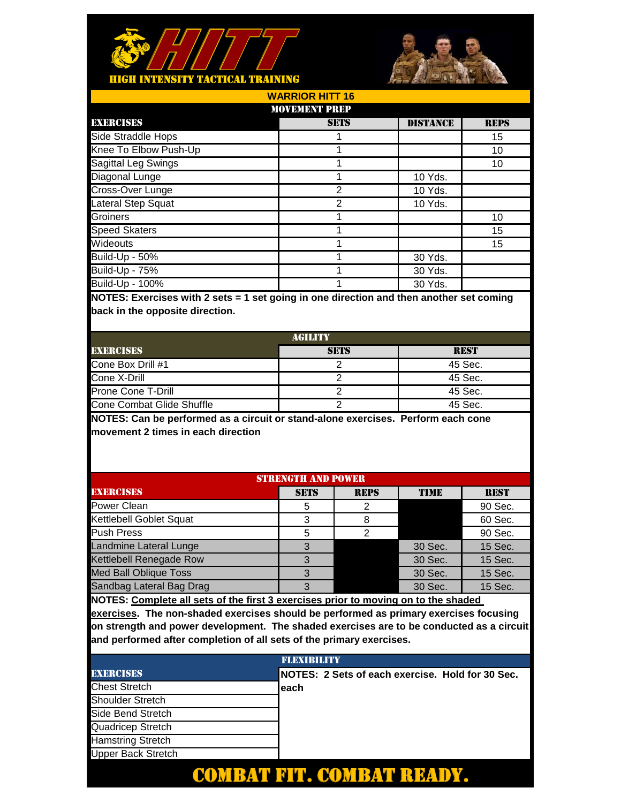



| <b>WARRIOR HITT 16</b> |             |                 |             |  |  |
|------------------------|-------------|-----------------|-------------|--|--|
| <b>MOVEMENT PREP</b>   |             |                 |             |  |  |
| <b>EXERCISES</b>       | <b>SETS</b> | <b>DISTANCE</b> | <b>REPS</b> |  |  |
| Side Straddle Hops     |             |                 | 15          |  |  |
| Knee To Elbow Push-Up  |             |                 | 10          |  |  |
| Sagittal Leg Swings    |             |                 | 10          |  |  |
| Diagonal Lunge         |             | 10 Yds.         |             |  |  |
| Cross-Over Lunge       | 2           | 10 Yds.         |             |  |  |
| Lateral Step Squat     | 2           | 10 Yds.         |             |  |  |
| Groiners               |             |                 | 10          |  |  |
| <b>Speed Skaters</b>   |             |                 | 15          |  |  |
| Wideouts               |             |                 | 15          |  |  |
| Build-Up - 50%         |             | 30 Yds.         |             |  |  |
| <b>Build-Up - 75%</b>  |             | 30 Yds.         |             |  |  |
| <b>Build-Up - 100%</b> |             | 30 Yds.         |             |  |  |

| AGILITY                   |             |             |  |  |
|---------------------------|-------------|-------------|--|--|
| <b>EXERCISES</b>          | <b>SETS</b> | <b>REST</b> |  |  |
| Cone Box Drill #1         |             | 45 Sec.     |  |  |
| Cone X-Drill              |             | 45 Sec.     |  |  |
| Prone Cone T-Drill        |             | 45 Sec.     |  |  |
| Cone Combat Glide Shuffle |             | 45 Sec.     |  |  |

**NOTES: Can be performed as a circuit or stand-alone exercises. Perform each cone movement 2 times in each direction**

| <b>STRENGTH AND POWER</b>    |             |             |             |             |
|------------------------------|-------------|-------------|-------------|-------------|
| <b>EXERCISES</b>             | <b>SETS</b> | <b>REPS</b> | <b>TIME</b> | <b>REST</b> |
| Power Clean                  | 5           |             |             | 90 Sec.     |
| Kettlebell Goblet Squat      | 3           |             |             | 60 Sec.     |
| <b>Push Press</b>            | 5           |             |             | 90 Sec.     |
| Landmine Lateral Lunge       | 3           |             | 30 Sec.     | 15 Sec.     |
| Kettlebell Renegade Row      |             |             | 30 Sec.     | 15 Sec.     |
| <b>Med Ball Oblique Toss</b> | З           |             | 30 Sec.     | 15 Sec.     |
| Sandbag Lateral Bag Drag     | З           |             | 30 Sec.     | 15 Sec.     |
|                              |             |             |             |             |

**NOTES: Complete all sets of the first 3 exercises prior to moving on to the shaded** 

| <b>FLEXIBILITY</b>        |  |                                                  |  |  |  |
|---------------------------|--|--------------------------------------------------|--|--|--|
| <b>EXERCISES</b>          |  | NOTES: 2 Sets of each exercise. Hold for 30 Sec. |  |  |  |
| <b>Chest Stretch</b>      |  | each                                             |  |  |  |
| <b>Shoulder Stretch</b>   |  |                                                  |  |  |  |
| Side Bend Stretch         |  |                                                  |  |  |  |
| Quadricep Stretch         |  |                                                  |  |  |  |
| <b>Hamstring Stretch</b>  |  |                                                  |  |  |  |
| <b>Upper Back Stretch</b> |  |                                                  |  |  |  |
|                           |  |                                                  |  |  |  |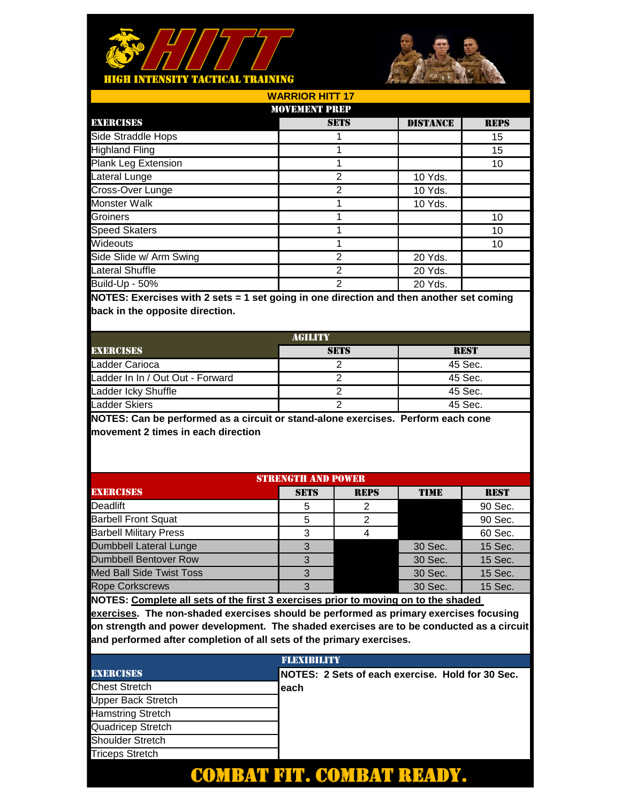



| <b>WARRIOR HITT 17</b>     |                      |                 |             |  |
|----------------------------|----------------------|-----------------|-------------|--|
|                            | <b>MOVEMENT PREP</b> |                 |             |  |
| <b>EXERCISES</b>           | <b>SETS</b>          | <b>DISTANCE</b> | <b>REPS</b> |  |
| Side Straddle Hops         |                      |                 | 15          |  |
| <b>Highland Fling</b>      |                      |                 | 15          |  |
| <b>Plank Leg Extension</b> |                      |                 | 10          |  |
| Lateral Lunge              | 2                    | 10 Yds.         |             |  |
| Cross-Over Lunge           | 2                    | 10 Yds.         |             |  |
| <b>Monster Walk</b>        |                      | 10 Yds.         |             |  |
| Groiners                   |                      |                 | 10          |  |
| <b>Speed Skaters</b>       |                      |                 | 10          |  |
| Wideouts                   |                      |                 | 10          |  |
| Side Slide w/ Arm Swing    | 2                    | 20 Yds.         |             |  |
| Lateral Shuffle            | 2                    | 20 Yds.         |             |  |
| <b>Build-Up - 50%</b>      | 2                    | 20 Yds.         |             |  |
|                            |                      |                 |             |  |

| <b>AGILITY</b>                   |             |             |  |
|----------------------------------|-------------|-------------|--|
| <b>EXERCISES</b>                 | <b>SETS</b> | <b>REST</b> |  |
| Ladder Carioca                   |             | 45 Sec.     |  |
| Ladder In In / Out Out - Forward |             | 45 Sec.     |  |
| Ladder Icky Shuffle              |             | 45 Sec.     |  |
| <b>Ladder Skiers</b>             |             | 45 Sec.     |  |

**NOTES: Can be performed as a circuit or stand-alone exercises. Perform each cone movement 2 times in each direction**

| <b>STRENGTH AND POWER</b>       |             |             |             |             |
|---------------------------------|-------------|-------------|-------------|-------------|
| <b>EXERCISES</b>                | <b>SETS</b> | <b>REPS</b> | <b>TIME</b> | <b>REST</b> |
| Deadlift                        | 5           |             |             | 90 Sec.     |
| <b>Barbell Front Squat</b>      | 5           |             |             | 90 Sec.     |
| <b>Barbell Military Press</b>   | 3           |             |             | 60 Sec.     |
| <b>Dumbbell Lateral Lunge</b>   | 3           |             | 30 Sec.     | 15 Sec.     |
| <b>Dumbbell Bentover Row</b>    |             |             | 30 Sec.     | 15 Sec.     |
| <b>Med Ball Side Twist Toss</b> | 3           |             | 30 Sec.     | 15 Sec.     |
| <b>Rope Corkscrews</b>          | З           |             | 30 Sec.     | 15 Sec.     |
|                                 |             |             |             |             |

**NOTES: Complete all sets of the first 3 exercises prior to moving on to the shaded** 

|                           | <b>FLEXIBILITY</b>                               |
|---------------------------|--------------------------------------------------|
| <b>EXERCISES</b>          | NOTES: 2 Sets of each exercise. Hold for 30 Sec. |
| <b>Chest Stretch</b>      | leach                                            |
| <b>Upper Back Stretch</b> |                                                  |
| <b>Hamstring Stretch</b>  |                                                  |
| Quadricep Stretch         |                                                  |
| <b>Shoulder Stretch</b>   |                                                  |
| <b>Triceps Stretch</b>    |                                                  |
|                           |                                                  |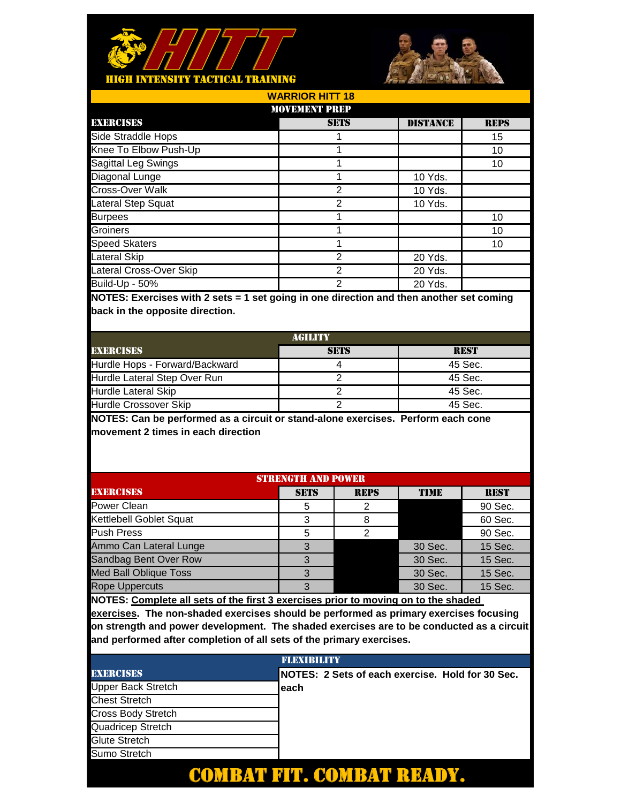



| <b>WARRIOR HITT 18</b>  |                      |                 |             |  |  |
|-------------------------|----------------------|-----------------|-------------|--|--|
|                         | <b>MOVEMENT PREP</b> |                 |             |  |  |
| <b>EXERCISES</b>        | <b>SETS</b>          | <b>DISTANCE</b> | <b>REPS</b> |  |  |
| Side Straddle Hops      |                      |                 | 15          |  |  |
| Knee To Elbow Push-Up   |                      |                 | 10          |  |  |
| Sagittal Leg Swings     |                      |                 | 10          |  |  |
| Diagonal Lunge          |                      | 10 Yds.         |             |  |  |
| Cross-Over Walk         | 2                    | 10 Yds.         |             |  |  |
| Lateral Step Squat      | $\overline{2}$       | 10 Yds.         |             |  |  |
| <b>Burpees</b>          |                      |                 | 10          |  |  |
| Groiners                |                      |                 | 10          |  |  |
| <b>Speed Skaters</b>    |                      |                 | 10          |  |  |
| Lateral Skip            | 2                    | 20 Yds.         |             |  |  |
| Lateral Cross-Over Skip | 2                    | 20 Yds.         |             |  |  |
| Build-Up - 50%          | 2                    | 20 Yds.         |             |  |  |

| AGILITY                        |             |             |  |
|--------------------------------|-------------|-------------|--|
| <b>EXERCISES</b>               | <b>SETS</b> | <b>REST</b> |  |
| Hurdle Hops - Forward/Backward |             | 45 Sec.     |  |
| Hurdle Lateral Step Over Run   |             | 45 Sec.     |  |
| Hurdle Lateral Skip            |             | 45 Sec.     |  |
| Hurdle Crossover Skip          |             | 45 Sec.     |  |

**NOTES: Can be performed as a circuit or stand-alone exercises. Perform each cone movement 2 times in each direction**

| <b>STRENGTH AND POWER</b>    |             |             |             |             |
|------------------------------|-------------|-------------|-------------|-------------|
| <b>EXERCISES</b>             | <b>SETS</b> | <b>REPS</b> | <b>TIME</b> | <b>REST</b> |
| Power Clean                  | 5           |             |             | 90 Sec.     |
| Kettlebell Goblet Squat      | 3           |             |             | 60 Sec.     |
| <b>Push Press</b>            | 5           | ◠           |             | 90 Sec.     |
| Ammo Can Lateral Lunge       | 3           |             | 30 Sec.     | 15 Sec.     |
| Sandbag Bent Over Row        | З           |             | 30 Sec.     | 15 Sec.     |
| <b>Med Ball Oblique Toss</b> | З           |             | 30 Sec.     | 15 Sec.     |
| <b>Rope Uppercuts</b>        | З           |             | 30 Sec.     | 15 Sec.     |
|                              |             |             |             |             |

**NOTES: Complete all sets of the first 3 exercises prior to moving on to the shaded** 

|                           | <b>FLEXIBILITY</b>                               |
|---------------------------|--------------------------------------------------|
| <b>EXERCISES</b>          | NOTES: 2 Sets of each exercise. Hold for 30 Sec. |
| Upper Back Stretch        | leach                                            |
| <b>Chest Stretch</b>      |                                                  |
| <b>Cross Body Stretch</b> |                                                  |
| Quadricep Stretch         |                                                  |
| Glute Stretch             |                                                  |
| Sumo Stretch              |                                                  |
|                           |                                                  |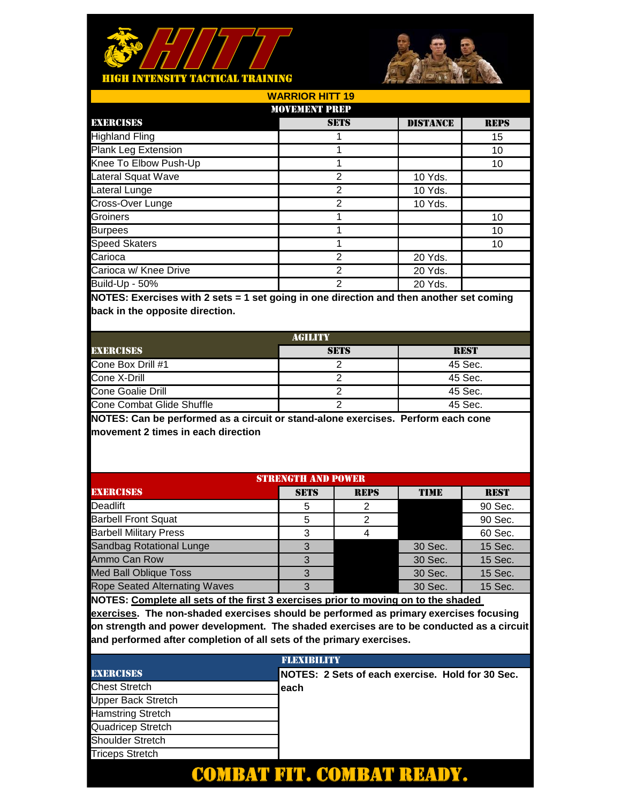



| <b>WARRIOR HITT 19</b> |                 |             |  |  |
|------------------------|-----------------|-------------|--|--|
| <b>MOVEMENT PREP</b>   |                 |             |  |  |
| <b>SETS</b>            | <b>DISTANCE</b> | <b>REPS</b> |  |  |
|                        |                 | 15          |  |  |
|                        |                 | 10          |  |  |
|                        |                 | 10          |  |  |
| 2                      | 10 Yds.         |             |  |  |
| 2                      | 10 Yds.         |             |  |  |
| 2                      | 10 Yds.         |             |  |  |
|                        |                 | 10          |  |  |
|                        |                 | 10          |  |  |
|                        |                 | 10          |  |  |
| 2                      | 20 Yds.         |             |  |  |
| 2                      | 20 Yds.         |             |  |  |
| 2                      | 20 Yds.         |             |  |  |
|                        |                 |             |  |  |

| AGILITY                   |             |             |  |
|---------------------------|-------------|-------------|--|
| <b>EXERCISES</b>          | <b>SETS</b> | <b>REST</b> |  |
| Cone Box Drill #1         |             | 45 Sec.     |  |
| Cone X-Drill              |             | 45 Sec.     |  |
| Cone Goalie Drill         |             | 45 Sec.     |  |
| Cone Combat Glide Shuffle |             | 45 Sec.     |  |

**NOTES: Can be performed as a circuit or stand-alone exercises. Perform each cone movement 2 times in each direction**

| <b>STRENGTH AND POWER</b>            |             |             |             |             |
|--------------------------------------|-------------|-------------|-------------|-------------|
| <b>EXERCISES</b>                     | <b>SETS</b> | <b>REPS</b> | <b>TIME</b> | <b>REST</b> |
| Deadlift                             | 5           |             |             | 90 Sec.     |
| <b>Barbell Front Squat</b>           | 5           |             |             | 90 Sec.     |
| <b>Barbell Military Press</b>        | З           |             |             | 60 Sec.     |
| <b>Sandbag Rotational Lunge</b>      | 3           |             | 30 Sec.     | 15 Sec.     |
| Ammo Can Row                         |             |             | 30 Sec.     | 15 Sec.     |
| <b>Med Ball Oblique Toss</b>         |             |             | 30 Sec.     | 15 Sec.     |
| <b>Rope Seated Alternating Waves</b> |             |             | 30 Sec.     | 15 Sec.     |
|                                      |             |             |             |             |

**NOTES: Complete all sets of the first 3 exercises prior to moving on to the shaded** 

|                           | <b>FLEXIBILITY</b>                               |
|---------------------------|--------------------------------------------------|
| <b>EXERCISES</b>          | NOTES: 2 Sets of each exercise. Hold for 30 Sec. |
| <b>Chest Stretch</b>      | leach                                            |
| <b>Upper Back Stretch</b> |                                                  |
| <b>Hamstring Stretch</b>  |                                                  |
| Quadricep Stretch         |                                                  |
| <b>Shoulder Stretch</b>   |                                                  |
| <b>Triceps Stretch</b>    |                                                  |
|                           |                                                  |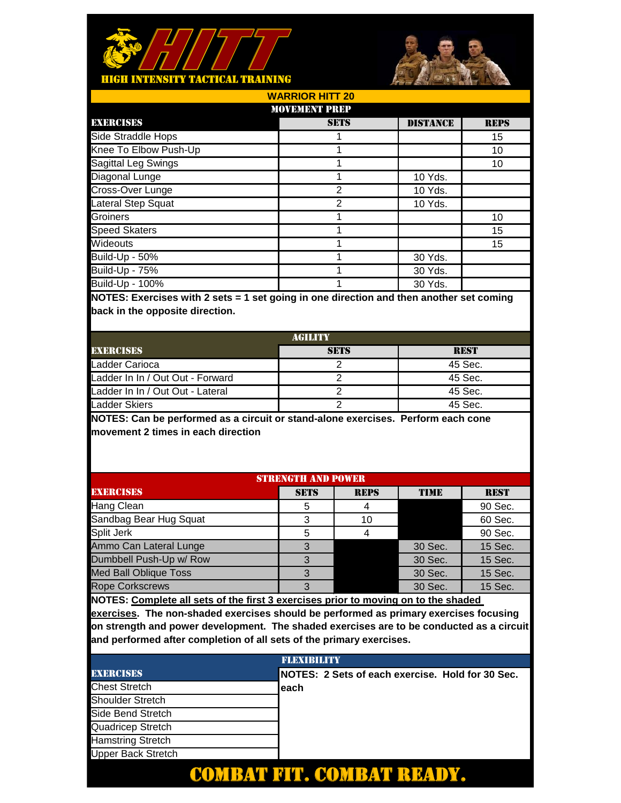



| <b>WARRIOR HITT 20</b> |                      |                 |             |  |  |  |
|------------------------|----------------------|-----------------|-------------|--|--|--|
|                        | <b>MOVEMENT PREP</b> |                 |             |  |  |  |
| <b>EXERCISES</b>       | <b>SETS</b>          | <b>DISTANCE</b> | <b>REPS</b> |  |  |  |
| Side Straddle Hops     |                      |                 | 15          |  |  |  |
| Knee To Elbow Push-Up  |                      |                 | 10          |  |  |  |
| Sagittal Leg Swings    |                      |                 | 10          |  |  |  |
| Diagonal Lunge         |                      | 10 Yds.         |             |  |  |  |
| Cross-Over Lunge       | 2                    | 10 Yds.         |             |  |  |  |
| Lateral Step Squat     | 2                    | 10 Yds.         |             |  |  |  |
| Groiners               |                      |                 | 10          |  |  |  |
| <b>Speed Skaters</b>   |                      |                 | 15          |  |  |  |
| Wideouts               |                      |                 | 15          |  |  |  |
| Build-Up - 50%         |                      | 30 Yds.         |             |  |  |  |
| <b>Build-Up - 75%</b>  |                      | 30 Yds.         |             |  |  |  |
| Build-Up - 100%        |                      | 30 Yds.         |             |  |  |  |
|                        |                      |                 |             |  |  |  |

| AGILITY                          |             |             |  |  |
|----------------------------------|-------------|-------------|--|--|
| <b>EXERCISES</b>                 | <b>SETS</b> | <b>REST</b> |  |  |
| Ladder Carioca                   |             | 45 Sec.     |  |  |
| Ladder In In / Out Out - Forward |             | 45 Sec.     |  |  |
| Ladder In In / Out Out - Lateral |             | 45 Sec.     |  |  |
| Ladder Skiers                    |             | 45 Sec.     |  |  |

**NOTES: Can be performed as a circuit or stand-alone exercises. Perform each cone movement 2 times in each direction**

| <b>STRENGTH AND POWER</b>    |             |             |             |             |  |
|------------------------------|-------------|-------------|-------------|-------------|--|
| <b>EXERCISES</b>             | <b>SETS</b> | <b>REPS</b> | <b>TIME</b> | <b>REST</b> |  |
| Hang Clean                   | 5           |             |             | 90 Sec.     |  |
| Sandbag Bear Hug Squat       | 3           | 10          |             | 60 Sec.     |  |
| Split Jerk                   | 5           |             |             | 90 Sec.     |  |
| Ammo Can Lateral Lunge       | 3           |             | 30 Sec.     | 15 Sec.     |  |
| Dumbbell Push-Up w/ Row      |             |             | 30 Sec.     | 15 Sec.     |  |
| <b>Med Ball Oblique Toss</b> | З           |             | 30 Sec.     | 15 Sec.     |  |
| <b>Rope Corkscrews</b>       | З           |             | 30 Sec.     | 15 Sec.     |  |
|                              |             |             |             |             |  |

**NOTES: Complete all sets of the first 3 exercises prior to moving on to the shaded** 

|                           | <b>FLEXTRILITY</b>                               |
|---------------------------|--------------------------------------------------|
| <b>EXERCISES</b>          | NOTES: 2 Sets of each exercise. Hold for 30 Sec. |
| <b>Chest Stretch</b>      | leach                                            |
| <b>Shoulder Stretch</b>   |                                                  |
| Side Bend Stretch         |                                                  |
| Quadricep Stretch         |                                                  |
| <b>Hamstring Stretch</b>  |                                                  |
| <b>Upper Back Stretch</b> |                                                  |
|                           |                                                  |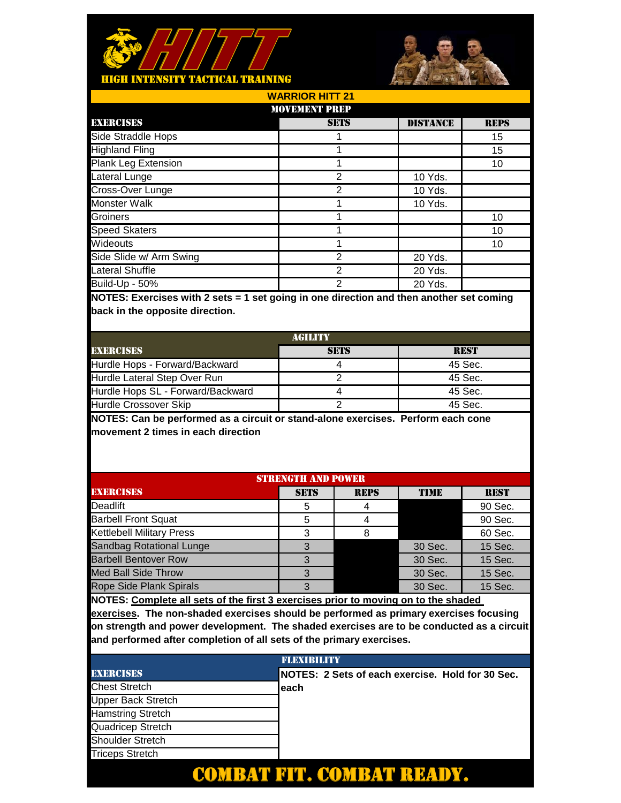



DISTANCE REPS 15 15 10 10 Yds. 10 Yds. 10 Yds. 10 10 10 20 Yds. 20 Yds. 20 Yds. 1 1 **SETS** 1 1 2 2 1 2 2 2 1 1 Groiners Speed Skaters Lateral Shuffle Build-Up - 50% **WARRIOR HITT 21** MOVEMENT PREP EXERCISES Side Straddle Hops Wideouts Side Slide w/ Arm Swing Highland Fling Plank Leg Extension Lateral Lunge Cross-Over Lunge Monster Walk

**NOTES: Exercises with 2 sets = 1 set going in one direction and then another set coming back in the opposite direction.** 

| AGILITY                           |             |             |  |  |
|-----------------------------------|-------------|-------------|--|--|
| <b>EXERCISES</b>                  | <b>SETS</b> | <b>REST</b> |  |  |
| Hurdle Hops - Forward/Backward    |             | 45 Sec.     |  |  |
| Hurdle Lateral Step Over Run      |             | 45 Sec.     |  |  |
| Hurdle Hops SL - Forward/Backward |             | 45 Sec.     |  |  |
| Hurdle Crossover Skip             |             | 45 Sec.     |  |  |

**NOTES: Can be performed as a circuit or stand-alone exercises. Perform each cone movement 2 times in each direction**

| <b>STRENGTH AND POWER</b>        |             |             |             |             |  |
|----------------------------------|-------------|-------------|-------------|-------------|--|
| <b>EXERCISES</b>                 | <b>SETS</b> | <b>REPS</b> | <b>TIME</b> | <b>REST</b> |  |
| Deadlift                         | 5           |             |             | 90 Sec.     |  |
| <b>Barbell Front Squat</b>       | 5           |             |             | 90 Sec.     |  |
| <b>Kettlebell Military Press</b> | З           |             |             | 60 Sec.     |  |
| <b>Sandbag Rotational Lunge</b>  | 3           |             | 30 Sec.     | 15 Sec.     |  |
| <b>Barbell Bentover Row</b>      |             |             | 30 Sec.     | 15 Sec.     |  |
| <b>Med Ball Side Throw</b>       |             |             | 30 Sec.     | 15 Sec.     |  |
| <b>Rope Side Plank Spirals</b>   |             |             | 30 Sec.     | 15 Sec.     |  |
|                                  |             |             |             |             |  |

**NOTES: Complete all sets of the first 3 exercises prior to moving on to the shaded** 

|                           | <b>FLEXIBILITY</b>                               |
|---------------------------|--------------------------------------------------|
| <b>EXERCISES</b>          | NOTES: 2 Sets of each exercise. Hold for 30 Sec. |
| <b>Chest Stretch</b>      | leach                                            |
| <b>Upper Back Stretch</b> |                                                  |
| <b>Hamstring Stretch</b>  |                                                  |
| Quadricep Stretch         |                                                  |
| <b>Shoulder Stretch</b>   |                                                  |
| <b>Triceps Stretch</b>    |                                                  |
|                           |                                                  |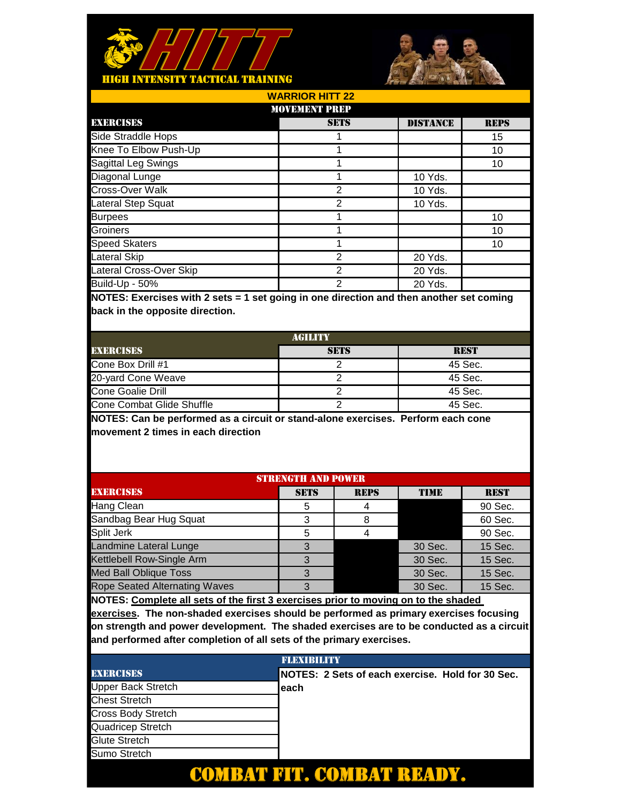



| <b>WARRIOR HITT 22</b>  |             |                 |             |  |  |
|-------------------------|-------------|-----------------|-------------|--|--|
| <b>MOVEMENT PREP</b>    |             |                 |             |  |  |
| <b>EXERCISES</b>        | <b>SETS</b> | <b>DISTANCE</b> | <b>REPS</b> |  |  |
| Side Straddle Hops      |             |                 | 15          |  |  |
| Knee To Elbow Push-Up   |             |                 | 10          |  |  |
| Sagittal Leg Swings     |             |                 | 10          |  |  |
| Diagonal Lunge          |             | 10 Yds.         |             |  |  |
| Cross-Over Walk         | 2           | 10 Yds.         |             |  |  |
| Lateral Step Squat      | 2           | 10 Yds.         |             |  |  |
| <b>Burpees</b>          |             |                 | 10          |  |  |
| Groiners                |             |                 | 10          |  |  |
| <b>Speed Skaters</b>    |             |                 | 10          |  |  |
| Lateral Skip            | 2           | 20 Yds.         |             |  |  |
| Lateral Cross-Over Skip | 2           | 20 Yds.         |             |  |  |
| Build-Up - 50%          | 2           | 20 Yds.         |             |  |  |

| AGILITY                   |             |             |  |  |
|---------------------------|-------------|-------------|--|--|
| <b>EXERCISES</b>          | <b>SETS</b> | <b>REST</b> |  |  |
| Cone Box Drill #1         |             | 45 Sec.     |  |  |
| 20-yard Cone Weave        |             | 45 Sec.     |  |  |
| Cone Goalie Drill         |             | 45 Sec.     |  |  |
| Cone Combat Glide Shuffle |             | 45 Sec.     |  |  |

**NOTES: Can be performed as a circuit or stand-alone exercises. Perform each cone movement 2 times in each direction**

| <b>STRENGTH AND POWER</b>            |             |             |             |             |  |  |
|--------------------------------------|-------------|-------------|-------------|-------------|--|--|
| <b>EXERCISES</b>                     | <b>SETS</b> | <b>REPS</b> | <b>TIME</b> | <b>REST</b> |  |  |
| Hang Clean                           | 5           |             |             | 90 Sec.     |  |  |
| Sandbag Bear Hug Squat               | 3           |             |             | 60 Sec.     |  |  |
| Split Jerk                           | 5           |             |             | 90 Sec.     |  |  |
| Landmine Lateral Lunge               | 3           |             | 30 Sec.     | 15 Sec.     |  |  |
| Kettlebell Row-Single Arm            |             |             | 30 Sec.     | 15 Sec.     |  |  |
| <b>Med Ball Oblique Toss</b>         | З           |             | 30 Sec.     | 15 Sec.     |  |  |
| <b>Rope Seated Alternating Waves</b> | 3           |             | 30 Sec.     | 15 Sec.     |  |  |
|                                      |             |             |             |             |  |  |

**NOTES: Complete all sets of the first 3 exercises prior to moving on to the shaded** 

|                           | <b>FLEXIBILITY</b>                                |
|---------------------------|---------------------------------------------------|
| <b>EXERCISES</b>          | INOTES: 2 Sets of each exercise. Hold for 30 Sec. |
| Upper Back Stretch        | leach                                             |
| <b>Chest Stretch</b>      |                                                   |
| <b>Cross Body Stretch</b> |                                                   |
| Quadricep Stretch         |                                                   |
| <b>Glute Stretch</b>      |                                                   |
| Sumo Stretch              |                                                   |
|                           |                                                   |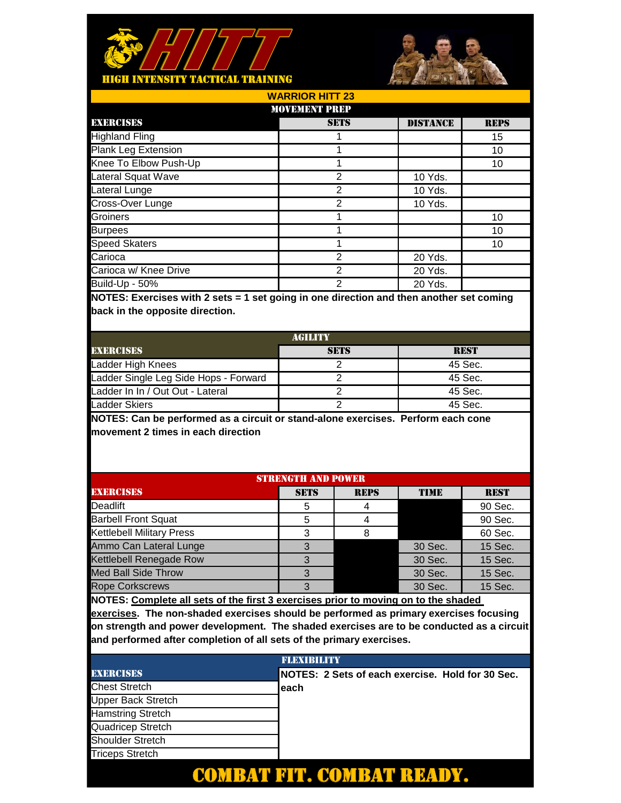



DISTANCE REPS 15 10 10 10 Yds. 10 Yds. 10 Yds. 10 10 10 20 Yds. 20 Yds. 20 Yds. 1 1 **SETS** 1  $\overline{2}$ 2 2 1 2 2 2 1 1 Groiners Burpees Carioca w/ Knee Drive Build-Up - 50% **WARRIOR HITT 23** MOVEMENT PREP EXERCISES Highland Fling Speed Skaters Carioca Plank Leg Extension Knee To Elbow Push-Up Lateral Squat Wave Lateral Lunge Cross-Over Lunge

**NOTES: Exercises with 2 sets = 1 set going in one direction and then another set coming back in the opposite direction.** 

| <b>AGILITY</b>                        |             |             |  |  |
|---------------------------------------|-------------|-------------|--|--|
| <b>EXERCISES</b>                      | <b>SETS</b> | <b>REST</b> |  |  |
| Ladder High Knees                     |             | 45 Sec.     |  |  |
| Ladder Single Leg Side Hops - Forward |             | 45 Sec.     |  |  |
| Ladder In In / Out Out - Lateral      |             | 45 Sec.     |  |  |
| Ladder Skiers                         |             | 45 Sec.     |  |  |

**NOTES: Can be performed as a circuit or stand-alone exercises. Perform each cone movement 2 times in each direction**

| <b>STRENGTH AND POWER</b>        |             |             |             |             |
|----------------------------------|-------------|-------------|-------------|-------------|
| <b>EXERCISES</b>                 | <b>SETS</b> | <b>REPS</b> | <b>TIME</b> | <b>REST</b> |
| Deadlift                         | 5           |             |             | 90 Sec.     |
| <b>Barbell Front Squat</b>       | 5           |             |             | 90 Sec.     |
| <b>Kettlebell Military Press</b> | 3           |             |             | 60 Sec.     |
| Ammo Can Lateral Lunge           | 3           |             | 30 Sec.     | 15 Sec.     |
| Kettlebell Renegade Row          |             |             | 30 Sec.     | 15 Sec.     |
| <b>Med Ball Side Throw</b>       | З           |             | 30 Sec.     | 15 Sec.     |
| <b>Rope Corkscrews</b>           | З           |             | 30 Sec.     | 15 Sec.     |

**NOTES: Complete all sets of the first 3 exercises prior to moving on to the shaded** 

|                           | <b>FLEXIBILITY</b>                               |
|---------------------------|--------------------------------------------------|
| <b>EXERCISES</b>          | NOTES: 2 Sets of each exercise. Hold for 30 Sec. |
| <b>Chest Stretch</b>      | leach                                            |
| <b>Upper Back Stretch</b> |                                                  |
| <b>Hamstring Stretch</b>  |                                                  |
| Quadricep Stretch         |                                                  |
| <b>Shoulder Stretch</b>   |                                                  |
| <b>Triceps Stretch</b>    |                                                  |
|                           |                                                  |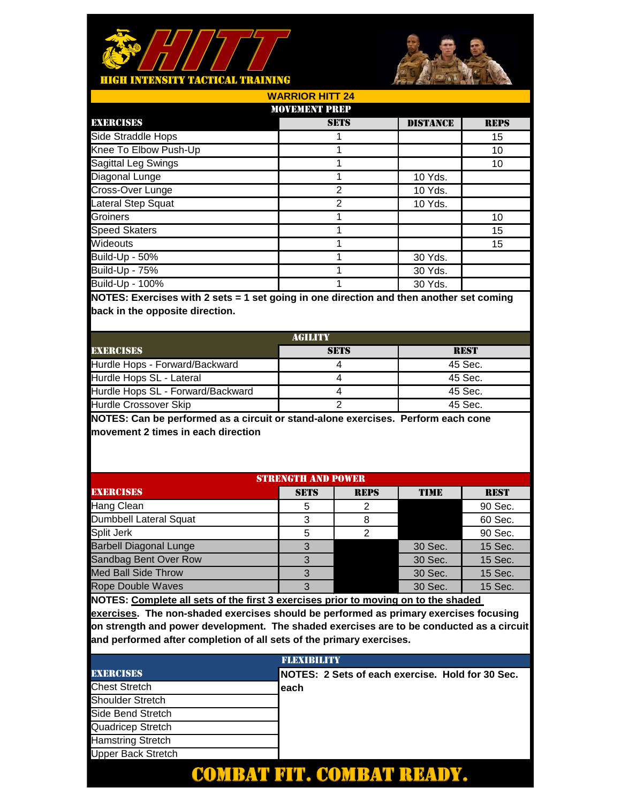



| <b>WARRIOR HITT 24</b> |             |                 |             |  |
|------------------------|-------------|-----------------|-------------|--|
| <b>MOVEMENT PREP</b>   |             |                 |             |  |
| <b>EXERCISES</b>       | <b>SETS</b> | <b>DISTANCE</b> | <b>REPS</b> |  |
| Side Straddle Hops     |             |                 | 15          |  |
| Knee To Elbow Push-Up  |             |                 | 10          |  |
| Sagittal Leg Swings    |             |                 | 10          |  |
| Diagonal Lunge         |             | 10 Yds.         |             |  |
| Cross-Over Lunge       | 2           | 10 Yds.         |             |  |
| Lateral Step Squat     | っ           | 10 Yds.         |             |  |
| Groiners               |             |                 | 10          |  |
| <b>Speed Skaters</b>   |             |                 | 15          |  |
| Wideouts               |             |                 | 15          |  |
| <b>Build-Up - 50%</b>  |             | 30 Yds.         |             |  |
| <b>Build-Up - 75%</b>  |             | 30 Yds.         |             |  |
| Build-Up - 100%        |             | 30 Yds.         |             |  |

| AGILITY                           |             |             |  |
|-----------------------------------|-------------|-------------|--|
| <b>EXERCISES</b>                  | <b>SETS</b> | <b>REST</b> |  |
| Hurdle Hops - Forward/Backward    |             | 45 Sec.     |  |
| Hurdle Hops SL - Lateral          |             | 45 Sec.     |  |
| Hurdle Hops SL - Forward/Backward |             | 45 Sec.     |  |
| Hurdle Crossover Skip             |             | 45 Sec.     |  |

**NOTES: Can be performed as a circuit or stand-alone exercises. Perform each cone movement 2 times in each direction**

| <b>STRENGTH AND POWER</b>     |             |             |             |             |
|-------------------------------|-------------|-------------|-------------|-------------|
| <b>EXERCISES</b>              | <b>SETS</b> | <b>REPS</b> | <b>TIME</b> | <b>REST</b> |
| Hang Clean                    | 5           |             |             | 90 Sec.     |
| Dumbbell Lateral Squat        | 3           |             |             | 60 Sec.     |
| Split Jerk                    | 5           | ◠           |             | 90 Sec.     |
| <b>Barbell Diagonal Lunge</b> | 3           |             | 30 Sec.     | 15 Sec.     |
| Sandbag Bent Over Row         |             |             | 30 Sec.     | 15 Sec.     |
| <b>Med Ball Side Throw</b>    | З           |             | 30 Sec.     | 15 Sec.     |
| <b>Rope Double Waves</b>      | З           |             | 30 Sec.     | 15 Sec.     |
|                               |             |             |             |             |

**NOTES: Complete all sets of the first 3 exercises prior to moving on to the shaded** 

|                           | <b>FLEXIBILITY</b>                                |
|---------------------------|---------------------------------------------------|
| <b>EXERCISES</b>          | INOTES: 2 Sets of each exercise. Hold for 30 Sec. |
| <b>Chest Stretch</b>      | leach                                             |
| Shoulder Stretch          |                                                   |
| Side Bend Stretch         |                                                   |
| Quadricep Stretch         |                                                   |
| <b>Hamstring Stretch</b>  |                                                   |
| <b>Upper Back Stretch</b> |                                                   |
|                           |                                                   |